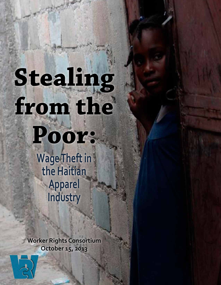# **Stealing from the**

**Poor: Wage Theft in** 

**the Haitian Apparel Industry**

**Worker Rights Consortium October 15, 2013**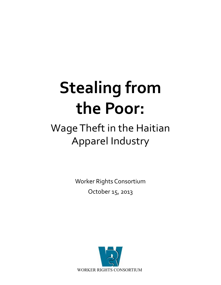# **Stealing from the Poor:**

# Wage Theft in the Haitian Apparel Industry

Worker Rights Consortium October 15, 2013

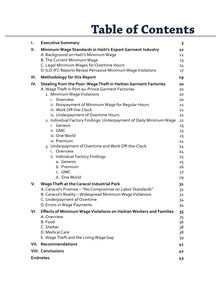# **Table of Contents**

| I.   | <b>Executive Summary</b>                                                                           | 3              |
|------|----------------------------------------------------------------------------------------------------|----------------|
| Ш.   | Minimum Wage Standards in Haiti's Export Garment Industry<br>A. Background on Haiti's Minimum Wage | 12<br>12       |
|      | B. The Current Minimum Wage                                                                        | 13             |
|      | C. Legal Minimum Wages for Overtime Hours                                                          | 14             |
|      | D. ILO-IFC Reports Reveal Pervasive Minimum Wage Violations                                        | 17             |
| III. | <b>Methodology for this Report</b>                                                                 | 19             |
| IV.  | Stealing from the Poor: Wage Theft in Haitian Garment Factories                                    | 20             |
|      | A. Wage Theft in Port-au-Prince Garment Factories                                                  | 20             |
|      | 1. Minimum Wage Violations                                                                         | 20             |
|      | Overview<br>i.                                                                                     | 20             |
|      | ii. Nonpayment of Minimum Wage for Regular Hours                                                   | 21             |
|      | iii. Work Off-the-Clock                                                                            | 21             |
|      | iv. Underpayment of Overtime Hours                                                                 | 22             |
|      | 2. Individual Factory Findings: Underpayment of Daily Minimum Wage<br>i. Genesis                   | 22             |
|      | ii. GMC                                                                                            | 23<br>23       |
|      | iii. One World                                                                                     | 23             |
|      | iv. Premium                                                                                        | 24             |
|      | 3. Underpayment of Overtime and Work Off-the-Clock                                                 | 24             |
|      | i. Overview                                                                                        | 24             |
|      | ii. Individual Factory Findings                                                                    | 25             |
|      | a. Genesis                                                                                         | 25             |
|      | b. Premium                                                                                         | 26             |
|      | c. GMC                                                                                             | 27             |
|      | d. One World                                                                                       | 29             |
| V.   | <b>Wage Theft at the Caracol Industrial Park</b>                                                   | 3 <sub>1</sub> |
|      | A. Caracol's Promise - "No Compromise on Labor Standards"                                          | 3 <sup>1</sup> |
|      | B. Caracol's Reality - Widespread Minimum Wage Violations                                          | 32             |
|      | C. Underpayment of Overtime                                                                        | 34             |
|      | D. Errors in Wage Payments                                                                         | 34             |
| VI.  | Effects of Minimum Wage Violations on Haitian Workers and Families                                 | 35             |
|      | A. Overview<br>B. Food                                                                             | 35             |
|      | C. Shelter                                                                                         | 36             |
|      | D. Medical Care                                                                                    | 38<br>38       |
|      | E. Wage Theft and the Living Wage Gap                                                              | 39             |
| VII. | Recommendations                                                                                    |                |
|      |                                                                                                    | 41             |
|      | <b>VIII. Conclusions</b>                                                                           | 42             |
|      | <b>Endnotes</b>                                                                                    | 43             |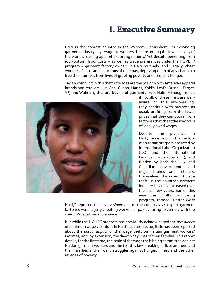# **I. Executive Summary**

Haiti is the poorest country in the Western Hemisphere. Its expanding garment industry pays wages to workers that are among the lowest in any of the world's leading apparel-exporting nations.<sup>1</sup> Yet despite benefiting from rock-bottom labor costs - as well as trade preferences under the HOPE II<sup>2</sup> program – garment factory owners in Haiti routinely, and illegally, cheat workers of substantial portions of their pay, depriving them of any chance to free their families from lives of grueling poverty and frequent hunger.

Tacitly complicit in this theft of wages are the major North American apparel brands and retailers, like Gap, Gildan, Hanes, Kohl's, Levi's, Russell, Target, VF, and Walmart, that are buyers of garments from Haiti. Although most,



if not all, of these firms are wellaware of this law-breaking, they continue with business as usual, profiting from the lower prices that they can obtain from factories that cheat their workers of legally owed wages.

Despite the presence in Haiti, since 2009, of a factory monitoring program operated by International Labor Organization (ILO) and the International Finance Corporation (IFC), and funded by both the U.S. and Canadian governments and major brands and retailers, themselves, the extent of wage theft3 in the country's garment industry has only increased over the past few years. Earlier this year, this ILO-IFC monitoring program, termed "Better Work

Haiti," reported that *every single one* of the country's 24 export garment factories was illegally cheating workers of pay by failing to comply with the country's legal minimum wage.4

But while the ILO-IFC program has previously acknowledged the *prevalence*  of minimum wage violations in Haiti's apparel sector, little has been reported about the *actual impact* of this wage theft on Haitian garment workers' incomes, and, by extension, the day-to-day lives of their families. This report details, for the first time, the scale of the wage theft being committed against Haitian garment workers and the toll this law-breaking inflicts on them and their families in their daily struggles against hunger, illness and the other ravages of poverty.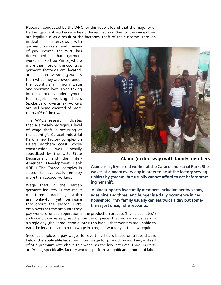Research conducted by the WRC for this report found that the majority of Haitian garment workers are being denied *nearly a third* of the wages they are legally due as a result of the factories' theft of their income. Through

in-depth interviews with garment workers and review of pay records, the WRC has determined that garment workers in Port-au-Prince, where more than 90% of the country's garment factories are located, are paid, on average, 32% less than what they are owed under the country's minimum wage and overtime laws. Even taking into account only underpayment for regular working hours (exclusive of overtime), workers are still being cheated of more than 20% of their wages.

The WRC's research indicates that a similarly egregious level of wage theft is occurring at the country's Caracol Industrial Park, a new factory complex on Haiti's northern coast whose construction was heavily subsidized by the U.S. State Department and the Inter-American Development Bank (IDB).5 The Caracol complex is slated to eventually employ more than 20,000 workers.

Wage theft in the Haitian garment industry is the result of three practices, which are unlawful, yet pervasive throughout the sector: First, employers set the amounts they



#### **Alaine (in doorway) with family members**

**Alaine is a 36 year old worker at the Caracol Industrial Park. She wakes at 4:00am every day in order to be at the factory sewing t-shirts by 7:00am, but usually cannot afford to eat before starting her shift.** 

**Alaine supports five family members including her two sons, ages nine and three, and hunger is a daily occurrence in her household. "My family usually can eat twice a day but sometimes just once," she recounts.**

pay workers for each operation in the production process (the "piece rates") so low – or, conversely, set the number of pieces that workers must sew in a single day (the "production quotas") so high – that workers are unable to earn the legal daily minimum wage in a regular workday as the law requires.

Second, employers pay wages for overtime hours based on a rate that is below the applicable legal minimum wage for production workers, instead of at a premium rate above this wage, as the law instructs. Third, in Portau-Prince, specifically, factory workers perform a significant amount of labor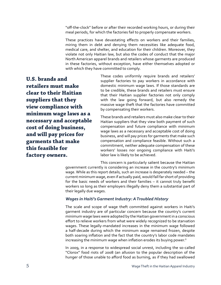"off-the-clock" before or after their recorded working hours, or during their meal periods, for which the factories fail to properly compensate workers.

These practices have devastating effects on workers and their families, miring them in debt and denying them necessities like adequate food, medical care, and shelter, and education for their children. Moreover, they violate not only Haitian law, but also the codes of conduct that the major North American apparel brands and retailers whose garments are produced in these factories, without exception, have either themselves adopted or with which they have committed to comply.

**U.S. brands and retailers must make clear to their Haitian suppliers that they view compliance with minimum wage laws as a necessary and acceptable cost of doing business, and will pay prices for garments that make this feasible for factory owners.**

These codes uniformly require brands and retailers' supplier factories to pay workers in accordance with domestic minimum wage laws. If those standards are to be credible, these brands and retailers must ensure that their Haitian supplier factories not only comply with the law going forward, but also remedy the massive wage theft that the factories have committed by compensating their workers.

These brands and retailers must also make clear to their Haitian suppliers that they view both payment of such compensation and future compliance with minimum wage laws as a necessary and acceptable cost of doing business, and will pay prices for garments that make such compensation and compliance feasible. Without such a commitment, neither adequate compensation of these workers' losses nor ongoing compliance with Haiti's labor law is likely to be achieved.

This concern is particularly salient because the Haitian government currently is considering an increase in the country's minimum wage. While as this report details, such an increase is desperately needed – the current minimum wage, even if actually paid, would fall far short of providing for the basic needs of workers and their families – it cannot truly benefit workers so long as their employers illegally deny them a substantial part of their legally due wages.

#### *Wages in Haiti's Garment Industry: A Troubled History*

The scale and scope of wage theft committed against workers in Haiti's garment industry are of particular concern because the country's current minimum wage laws were adopted by the Haitian government in a conscious effort to relieve workers from what were widely recognized to be starvation wages. These legally-mandated increases in the minimum wage followed a half-decade during which the minimum wage remained frozen, despite both soaring inflation and the fact that the country's labor code mandates increasing the minimum wage when inflation erodes its buying power.<sup>6</sup>

In 2009, in a response to widespread social unrest, including the so-called "Clorox" food riots of 2008 (an allusion to the popular description of the hunger of those unable to afford food as burning, as if they had swallowed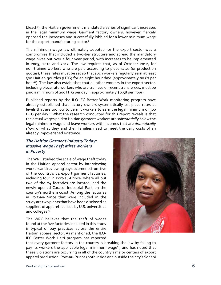bleach<sup>7</sup>), the Haitian government mandated a series of significant increases in the legal minimum wage. Garment factory owners, however, fiercely opposed the increases and successfully lobbied for a lower minimum wage for the export manufacturing sector.<sup>8</sup>

The minimum wage law ultimately adopted for the export sector was a compromise that included a two-tier structure and spread the mandatory wage hikes out over a four year period, with increases to be implemented in 2009, 2010 and 2012. The law requires that, as of October 2012, for non-trainee workers who are paid according to piece rates (or production quotas), these rates must be set so that such workers regularly earn at least 300 Haitian gourdes (HTG) for an eight hour day<sup>9</sup> (approximately \$0.87 per hour<sup>10</sup>). The law also establishes that all other workers in the export sector, including piece rate workers who are trainees or recent transferees, must be paid a minimum of 200 HTG per day<sup>11</sup> (approximately \$0.58 per hour).

Published reports by the ILO-IFC Better Work monitoring program have already established that factory owners systematically set piece rates at levels that are too low to permit workers to earn the legal minimum of 300 HTG per day.<sup>12</sup> What the research conducted for this report reveals is that the actual wages paid to Haitian garment workers are *substantially below* the legal minimum wage and leave workers with incomes that are *dramatically short* of what they and their families need to meet the daily costs of an already impoverished existence.

#### *The Haitian Garment Industry Today: Massive Wage Theft Mires Workers in Poverty*

The WRC studied the scale of wage theft today in the Haitian apparel sector by interviewing workers and reviewing pay documents from five of the country's 24 export garment factories, including four in Port-au-Prince, where all but two of the 24 factories are located, and the newly opened Caracol Industrial Park on the country's northern coast. Among the factories in Port-au-Prince that were included in the study are two plants that have been disclosed as suppliers of apparel licensed by U.S. universities and colleges.<sup>13</sup>

The WRC believes that the theft of wages found at the five factories included in this study is typical of pay practices across the entire Haitian apparel sector. As mentioned, the ILO-IFC Better Work Haiti program has reported



that every garment factory in the country is breaking the law by failing to pay its workers the applicable legal minimum wage<sup>14</sup>, and has noted that these violations are occurring in all of the country's major centers of export apparel production: Port-au-Prince (both inside and outside the city's Sonapi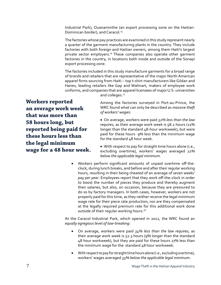Industrial Park), Ouanaminthe (an export processing zone on the Haitian-Dominican border), and Caracol.<sup>15</sup>

The factories whose pay practices are examined in this study represent nearly a quarter of the garment manufacturing plants in the country. They include factories with both foreign and Haitian owners, among them Haiti's largest private sector employers.<sup>16</sup> These companies also operate other garment factories in the country, in locations both inside and outside of the Sonapi export processing zone.

The factories included in this study manufacture garments for a broad range of brands and retailers that are representative of the major North American apparel firms sourcing from Haiti – top t-shirt manufacturers like Gildan and Hanes, leading retailers like Gap and Walmart, makers of employee work uniforms, and companies that are apparel licensees of major U.S. universities

and colleges.<sup>17</sup>

**Workers reported an average work week that was more than 58 hours long, but reported being paid for these hours less than the legal minimum wage for a 48 hour week.**

Among the factories surveyed in Port-au-Prince, the WRC found what can only be described as *massive theft of workers' wages*:

• On average, workers were paid *32% less than the law requires*, as their average work week is 58.2 hours (21% longer than the standard 48-hour workweek), but were paid for these hours 9% less than the minimum wage for the standard 48 hour week.

• With respect to pay for straight time hours alone (i.e., excluding overtime), workers' wages averaged *22% below the applicable legal minimum*.

• Workers perform significant amounts of unpaid overtime off-theclock, during lunch breaks, and before and after their regular working hours, resulting in their being cheated of an average of *seven weeks' pay per year*. Employees report that they work off-the-clock in order to boost the number of pieces they produce and thereby augment their salaries, but also, on occasion, because they are pressured to do so by factory managers. In both cases, however, workers are not properly paid for this time, as they neither receive the legal minimum wage rate for their piece rate production, nor are they compensated at the legally required premium rate for this additional work done outside of their regular working hours.<sup>18</sup>

At the Caracol Industrial Park, which opened in 2012, the WRC found an *equally egregious level of law-breaking*:

- On average, workers were paid 34% less than the law requires, as their average work week is 52.3 hours (9% longer than the standard 48 hour workweek), but they are paid for these hours 27% less than the minimum wage for the standard  $48$  hour workweek.
- With respect to pay for straight time hours alone (i.e., excluding overtime), workers' wages averaged *33% below the applicable legal minimum*.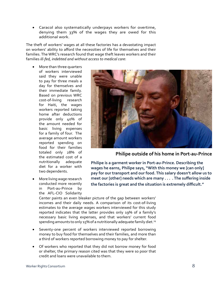Caracol also systematically underpays workers for overtime, denying them 33% of the wages they are owed for this additional work.

The theft of workers' wages at all these factories has a devastating impact on workers' ability to afford the necessities of life for themselves and their families. The WRC's research found that wage theft leaves workers and their families *ill-fed, indebted and without access to medical care*:

- More than three quarters of workers interviewed said they were unable to pay for three meals a day for themselves and their immediate family. Based on previous WRC cost-of-living research for Haiti, the wages workers reported taking home after deductions provide only 40% of the amount needed for basic living expenses for a family of four. The average amount workers reported spending on food for their families totaled only 28% of the estimated cost of a nutritionally adequate diet for a worker with two dependents.
- More living wage research conducted more recently in Port-au-Prince by the AFL-CIO Solidarity



**Philipe outside of his home in Port-au-Prince**

**Philipe is a garment worker in Port-au-Prince. Describing the wages he earns, Philipe says, "With this money we [can only] pay for our transport and our food. This salary doesn't allow us to meet our [other] needs which are many . . . .The suffering inside the factories is great and the situation is extremely difficult."**

Center paints an even bleaker picture of the gap between workers' incomes and their daily needs. A comparison of its cost-of-living estimates to the average wages workers interviewed for this study reported indicates that the latter provides only 19% of a family's necessary basic living expenses, and that workers' current food spending amounts to only 15% of a nutritionally adequate family diet.<sup>19</sup>

- Seventy-one percent of workers interviewed reported borrowing money to buy food for themselves and their families, and more than a third of workers reported borrowing money to pay for shelter.
- Of workers who reported that they did not borrow money for food or shelter, the primary reason cited was that they were so poor that credit and loans were unavailable to them.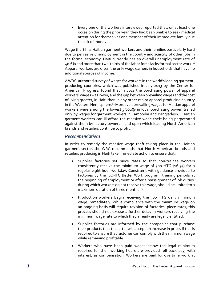• Every one of the workers interviewed reported that, on at least one occasion during the prior year, they had been unable to seek medical attention for themselves or a member of their immediate family due to lack of money.

Wage theft hits Haitian garment workers and their families particularly hard due to pervasive unemployment in the country and scarcity of other jobs in the formal economy. Haiti currently has an overall unemployment rate of 40.6% and more than two-thirds of the labor force lacks formal sector work.20 Apparel workers are often the only wage earners in households that have no additional sources of income.

A WRC-authored survey of wages for workers in the world's leading garmentproducing countries, which was published in July 2013 by the Center for American Progress, found that in 2011 the purchasing power of apparel workers' wages was lower, and the gap between prevailing wages and the cost of living greater, in Haiti than in any other major apparel producing country in the Western Hemisphere.<sup>21</sup> Moreover, prevailing wages for Haitian apparel workers were among the lowest *globally* in local purchasing power, trailed only by wages for garment workers in Cambodia and Bangladesh.<sup>22</sup> Haitian garment workers can ill-afford the massive wage theft being perpetrated against them by factory owners – and upon which leading North American brands and retailers continue to profit.

#### *Recommendations*

In order to remedy the massive wage theft taking place in the Haitian garment sector, the WRC recommends that North American brands and retailers producing in Haiti take immediate action to ensure that:

- • Supplier factories set piece rates so that non-trainee workers consistently receive the minimum wage of 300 HTG (\$6.97) for a regular eight-hour workday. Consistent with guidance provided to factories by the ILO-IFC Better Work program, training periods at the beginning of employment or after a reassignment of job duties, during which workers do not receive this wage, should be limited to a maximum duration of three months $23$
- Production workers begin receiving the 300 HTG daily minimum wage immediately. While compliance with the minimum wage on an ongoing basis will require revision of factories' piece rates, this process should not excuse a further delay in workers receiving the minimum wage rate to which they already are legally entitled.
- Supplier factories are informed by the companies that purchase their products that the latter will accept an increase in prices if this is required to ensure that factories can comply with the minimum wage while remaining profitable.
- • Workers who have been paid wages below the legal minimum required for their working hours are provided full back pay, with interest, as compensation. Workers are paid for overtime work at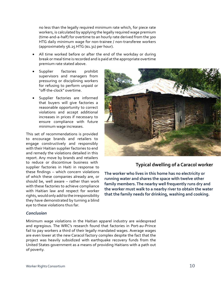no less than the legally required minimum rate which, for piece rate workers, is calculated by applying the legally required wage premium (time-and-a-half) for overtime to an hourly rate derived from the 300 HTG daily minimum wage for non-trainee / non-transferee workers (approximately 56.25 HTG (\$1.31) per hour).

- All time worked before or after the end of the workday or during break or meal time is recorded and is paid at the appropriate overtime premium rate stated above.
- Supplier factories prohibit supervisors and managers from pressuring or disciplining workers for refusing to perform unpaid or "off-the-clock" overtime.
- Supplier factories are informed that buyers will give factories a reasonable opportunity to correct violations and accept additional increases in prices if necessary to ensure compliance with future minimum wage increases.

This set of recommendations is provided to encourage brands and retailers to engage constructively and responsibly with their Haitian supplier factories to end and remedy the violations detailed in this report. Any move by brands and retailers to reduce or discontinue business with supplier factories in Haiti in response to these findings – which concern violations of which these companies already are, or should be, well aware – rather than work with these factories to achieve compliance with Haitian law and respect for worker rights, would only add to the irresponsibility they have demonstrated by turning a blind eye to these violations thus far.



#### **Typical dwelling of a Caracol worker**

**The worker who lives in this home has no electricity or running water and shares the space with twelve other family members. The nearby well frequently runs dry and the worker must walk to a nearby river to obtain the water that the family needs for drinking, washing and cooking.** 

#### *Conclusion*

Minimum wage violations in the Haitian apparel industry are widespread and egregious. The WRC's research found that factories in Port-au-Prince fail to pay workers a third of their legally mandated wages. Average wages are even lower at the new Caracol factory complex despite the fact that the project was heavily subsidized with earthquake recovery funds from the United States government as a means of providing Haitians with a path out of poverty.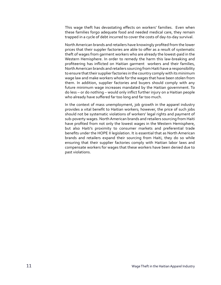This wage theft has devastating effects on workers' families. Even when these families forgo adequate food and needed medical care, they remain trapped in a cycle of debt incurred to cover the costs of day-to-day survival.

NorthAmerican brands and retailers have knowingly profited from the lower prices that their suppler factories are able to offer as a result of systematic theft of wages from garment workers who are already the lowest-paid in the Western Hemisphere. In order to remedy the harm this law-breaking and profiteering has inflicted on Haitian garment workers and their families, North American brands and retailers sourcing from Haiti have a responsibility to ensure that their supplier factories in the country comply with its minimum wage law and make workers whole for the wages that have been stolen from them. In addition, supplier factories and buyers should comply with any future minimum wage increases mandated by the Haitian government. To do less – or do nothing – would only inflict further injury on a Haitian people who already have suffered far too long and far too much.

In the context of mass unemployment, job growth in the apparel industry provides a vital benefit to Haitian workers; however, the price of such jobs should not be systematic violations of workers' legal rights and payment of sub-poverty wages. North American brands and retailers sourcing from Haiti have profited from not only the lowest wages in the Western Hemisphere, but also Haiti's proximity to consumer markets and preferential trade benefits under the HOPE II legislation. It is essential that as North American brands and retailers expand their sourcing from Haiti, they do so while ensuring that their supplier factories comply with Haitian labor laws and compensate workers for wages that these workers have been denied due to past violations.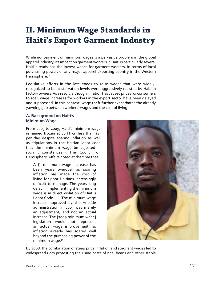# **II. Minimum Wage Standards in Haiti's Export Garment Industry**

While nonpayment of minimum wages is a pervasive problem in the global apparel industry, its impact on garment workers in Haiti is particularly severe. Haiti already has the lowest wages for garment workers, in terms of local purchasing power, of any major apparel-exporting country in the Western Hemisphere.<sup>24</sup>

Legislative efforts in the late 2000s to raise wages that were widelyrecognized to be at starvation levels were aggressively resisted by Haitian factory owners. As a result, although inflation has caused prices for consumers to soar, wage increases for workers in the export sector have been delayed and suppressed. In this context, wage theft further exacerbates the already yawning gap between workers' wages and the cost of living.

#### **A. Background on Haiti's Minimum Wage**

From 2003 to 2009, Haiti's minimum wage remained frozen at 70 HTG (less than \$2) per day despite soaring inflation as well as stipulations in the Haitian labor code that the minimum wage be adjusted in such circumstances.<sup>25</sup> The Council on HemisphericAffairs noted at the time that:

A [] minimum wage increase has been years overdue, as soaring inflation has made the cost of living for poor Haitians increasingly difficult to manage. The years-long delay in implementing the minimum wage is in direct violation of Haiti's Labor Code. . . . The minimum wage increase approved by the Aristide administration in 2003 was merely an adjustment, and not an actual increase. The [2009 minimum wage] legislation would not represent an actual wage improvement, as inflation already has soared well beyond the purchasing power of the minimum wage.<sup>26</sup>



By 2008, the combination of steep price inflation and stagnant wages led to widespread riots protesting the rising costs of rice, beans and other staple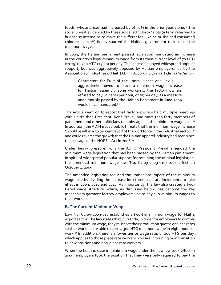foods, whose prices had increased by of 50% in the prior year alone.<sup>27</sup> The social unrest evidenced by these so-called "Clorox" riots (a term referring to hunger so intense as to make the sufferer feel like he or she had consumed chlorine bleach<sup>28</sup>) finally spurred the Haitian government to increase the minimum wage.

In 2009, the Haitian parliament passed legislation mandating an increase in the country's legal minimum wage from its then-current level of 70 HTG (\$1.75) to 200 HTG (\$5.00) per day. The increase enjoyed widespread popular support, but was aggressively opposed by Haitian employers, led by the Association of Industries of Haiti (ADIH). According to an article in *The Nation*,

Contractors for Fruit of the Loom, Hanes and Levi's . . . aggressively moved to block a minimum wage increase for Haitian assembly zone workers… the factory owners refused to pay 62 cents per hour, or \$5 per day, as a measure unanimously passed by the Haitian Parliament in June 2009 would have mandated.<sup>29</sup>

The article went on to report that factory owners held multiple meetings with Haiti's then-President, René Préval, and more than forty members of parliament and other politicians to lobby against the minimum wage hike.<sup>30</sup> In addition, the ADIH issued public threats that the minimum wage increase "would result in a 50 percent layoff of the workforce in the industrial sector..." and could reverse the growth that the Haitian apparel industry had seen since the passage of the HOPE II Act in 2008.<sup>31</sup>

Under heavy pressure from the ADIH, President Préval amended the minimum wage legislation that had been passed by the Haitian parliament. In spite of widespread popular support for retaining the original legislation, the amended minimum wage law (No. CL-09-2009-010) took effect on October 1, 2009.

The amended legislation reduced the immediate impact of the minimum wage hike by dividing the increase into three separate increments to take effect in 2009, 2010 and 2012. As importantly, the law also created a twotiered wage structure, which, as discussed below, has become the key mechanism garment factory employers use to pay sub-minimum wages to their workers.

#### **B. The Current Minimum Wage**

Law No. CL-09-2009-010 establishes a two-tier minimum wage for Haiti's export sector. The law states that, currently, in order for employers to comply with the minimum wage, they must set their production quotas or piece rates so that workers are able to earn a 300 HTG minimum wage in eight hours of work.<sup>32</sup> In addition, there is a lower tier or wage rate, of 200 HTG per day, which applies to those piece rate workers who are in training or in transition to new positions and non-piece rate workers.

When the first increase in minimum wage under the new law took effect in 2009, employers took the position that they were only required to pay the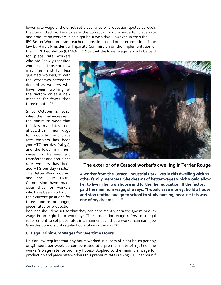lower rate wage and did not set piece rates or production quotas at levels that permitted workers to earn the correct minimum wage for piece rate and production workers in an eight hour workday. However, in 2010 the ILO-IFC Better Work program reached a position based on interpretation of the law by Haiti's Presidential Tripartite Commission on the Implementation of the HOPE Legislation (CTMO-HOPE)<sup>33</sup> that the lower wage can only be paid

for piece rate workers who are "newly recruited workers . . . those on new machines, and for less qualified workers,"34 with the latter two categories defined as workers who have been working at the factory or at a new machine for fewer than three months 35

Since October 1, 2012, when the final increase in the minimum wage that the law mandates took effect, the minimum wage for production and piece rate workers has been 300 HTG per day (\$6.97), and the lower minimum wage for trainees, job transferees and non-piece rate workers has been 200 HTG per day (\$4.64). The Better Work program and the CTMO-HOPE Commission have made clear that for workers who have been working in their current positions for three months or longer, piece rates or production



**The exterior of a Caracol worker's dwelling in Terrier Rouge**

**A worker from the Caracol Industrial Park lives in this dwelling with 11 other family members. She dreams of better wages which would allow her to live in her own house and further her education. If the factory paid the minimum wage, she says, "I would save money, build a house and stop renting and go to school to study nursing, because this was one of my dreams. . . ."**

bonuses should be set so that they can consistently earn the 300 minimum wage in an eight hour workday: "The production wage refers to a legal requirement to set piece rates in a manner such that a worker can earn 300 Gourdes during eight regular hours of work per day."36

#### **C. Legal Minimum Wages for Overtime Hours**

Haitian law requires that any hours worked in excess of eight hours per day or 48 hours per week be compensated at a premium rate of 150% of the worker's wage rate for ordinary hours.<sup>37</sup> Applied to the minimum wage for production and piece rate workers this premium rate is  $56.25$  HTG per hour.<sup>38</sup>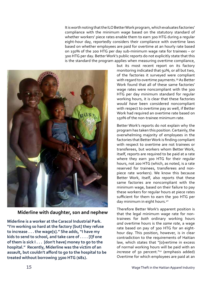It is worth noting that the ILO Better Work program, which evaluates factories' compliance with the minimum wage based on the statutory standard of whether workers' piece rates enable them to earn 300 HTG during a regular eight-hour day, reportedly considers their compliance with overtime laws based on whether employees are paid for overtime at an hourly rate based on 150% of the 200 HTG per day sub-minimum wage rate for trainees – or 300 HTG per day. Better Work's public reports do not explicitly state that this is the standard the program applies when measuring overtime compliance,



**Miderline with daughter, son and nephew**

**Miderline is a worker at the Caracol Industrial Park. "I'm working so hard at the factory [but] they refuse to increase . . . the wage[s]." She adds, "I have my kids to send to school, and take care of . . . . [I]f one of them is sick I . . . [don't have] money to go to the hospital." Recently, Miderline was the victim of an assault, but couldn't afford to go to the hospital to be treated without borrowing 3500 HTG (\$81).**

but its most recent report on its factory monitoring indicated that 92%, or all but two, of the factories it surveyed were compliant with regard to overtime payments.<sup>39</sup> As Better Work found that all of these same factories' wage rates were noncompliant with the 300 HTG per day minimum standard for regular working hours, it is clear that these factories *would have* been considered noncompliant with respect to overtime pay as well, if Better Work had required an overtime rate based on 150% of the non-trainee minimum rate.

Better Work's reports do not explain why the program has taken this position. Certainly, the overwhelming majority of employees in the factories that BetterWork is finding compliant with respect to overtime are not trainees or transferees, but workers whom Better Work, itself, reports are required to be paid at a rate where they earn 300 HTG for their regular hours, not 200 HTG (which, as noted, is a rate reserved for trainees, transferees and nonpiece rate workers). We know this because Better Work, itself, also reports that these same factories are noncompliant with the minimum wage, based on their failure to pay these workers for regular hours at piece rates sufficient for them to earn the 300 HTG per day minimum in eight hours.<sup>40</sup>

Therefore Better Work's apparent position is that the legal minimum wage rate for nontrainees for *both* ordinary working hours *and* overtime hours is the *same rate*, a wage rate based on pay of 300 HTG for an eighthour day. This position, however, is in clear contradiction to the requirements of Haitian law, which states that "[o]vertime in excess of normal working hours will be paid with an increase of 50 percent."<sup>41</sup> (emphasis added) Overtime for which employees are paid at an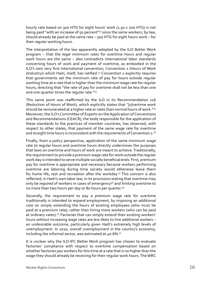hourly rate based on 300 HTG for eight hours' work (1.50 x 200 HTG) is not being paid "with an increase of 50 percent"<sup>42</sup> since the same workers, by law, should already be paid at the same rate – 300 HTG for eight hours work – for their *regular* working hours.

The interpretation of the law apparently adopted by the ILO Better Work program – that the legal minimum rates for overtime hours and regular work hours are the same – also contradicts international labor standards concerning hours of work and payment of overtime, as embodied in the ILO's own very first international convention, Convention 1 (Hours of Work (Industry)) which Haiti, itself, has ratified.<sup>43</sup> Convention 1 explicitly requires that governments set the minimum rate of pay for hours outside regular working time at a rate that is higher than the minimum wage rate for regular hours, directing that "the rate of pay for overtime shall not be less than one and one-quarter times the reqular rate."<sup>44</sup>

This same point was reaffirmed by the ILO in its Recommendation 116 (Reduction of Hours of Work), which explicitly states that "[o]vertime work should be remunerated at a higher rate or rates than normal hours of work."45 Moreover, the ILO's Committee of Experts on the Application of Conventions and Recommendations (CEACR), the body responsible for the application of these standards to the practices of member countries, has observed, with respect to other states, that payment of the same wage rate for overtime and straight time hours is inconsistent with the requirements of Convention 1.46

Finally, from a policy perspective, application of the same minimum wage rate to regular hours and overtime hours directly undermines the purposes that laws on overtime and hours of work are meant to achieve. Traditionally, the requirement to provide a premium wage rate for work outside the regular work day is intended to serve multiple socially beneficial ends: First, premium pay for overtime is appropriate and necessary because workers performing overtime are laboring during time society would otherwise leave them for home life, rest and recreation after the workday.<sup>47</sup> This concern is also reflected, in Haiti's own labor law, in its provisions stating that overtime may only be *required* of workers in cases of emergency<sup>48</sup> and limiting overtime to no more than two hours per day or 80 hours per quarter.49

Secondly, the requirement to pay a premium wage rate for overtime traditionally is intended to expand employment, by imposing an additional cost on simply extending the hours of existing employees (who must be paid at a premium rate), rather than hiring more workers (who can be paid at ordinary rates).<sup>50</sup> Factories that can simply extend their existing workers' hours without increasing wage rates are less likely to hire additional workers – an undesirable outcome, particularly given Haiti's extremely high levels of unemployment. In 2010, overall unemployment in the country's economy, including the informal sector, was estimated at  $40.6\%$ .<sup>51</sup>

It is unclear why the ILO-IFC Better Work program has chosen to evaluate factories' compliance with respect to overtime compensation based on whether factories pay workers for this time at a rate that is no higher than the wage they should already be receiving for their regular work hours. The WRC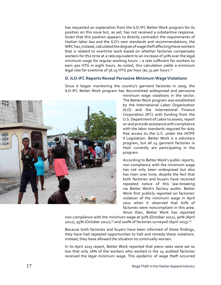has requested an explanation from the ILO-IFC Better Work program for its position on this issue but, as yet, has not received a substantive response. Given that this position appears to directly contradict the requirements of Haitian labor law and the ILO's own standards and recommendations, the WRChas, instead, calculated the degree of wage theft affecting these workers that is related to overtime work based on whether factories compensate workers for this time at a rate equivalent to an increase of 50% over the legal minimum wage for regular working hours – a rate sufficient for workers to earn 300 HTG in eight hours. As noted, this calculation yields a minimum legal rate for overtime of 56.25 HTG per hour (\$1.31 per hour).<sup>52</sup>

#### **D. ILO-IFC Reports Reveal Pervasive Minimum Wage Violations**

Since it began monitoring the country's garment factories in 2009, the ILO-IFC Better Work program has documented widespread and pervasive



minimum wage violations in the sector. The Better Work program was established by the International Labor Organization (ILO) and the International Finance Corporation (IFC) with funding from the U.S. Department of Labor to assess, report on and provide assistance with compliance with the labor standards required for duty free access to the U.S. under the HOPE II Legislation. Better Work is a voluntary program, but all 24 garment factories in Haiti currently are participating in the program.

According to Better Work's public reports, non-compliance with the minimum wage has not only been widespread but also has risen over time, despite the fact that both factories and buyers have received repeated notice of this law-breaking via Better Work's factory audits. Better Work first publicly reported on factories' violation of the minimum wage in April 2011 when it observed that 61% of factories were noncompliant in this area. Since then, Better Work has reported

non-compliance with the minimum wage at 91% (October 2011), 90% (April 2012), 95% (October 2012),<sup>53</sup> and 100% of factories surveyed (April 2013).<sup>54</sup>

Because both factories and buyers have been informed of these findings, they have had repeated opportunities to halt and remedy these violations. Instead, they have allowed the situation to continually worsen.

In its April 2013 report, Better Work reported that piece rates were set so low that only 16% of the workers who worked in the 24 audited factories received the legal minimum wage. This epidemic of wage theft occurred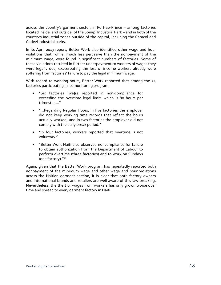across the country's garment sector, in Port-au-Prince – among factories located inside, and outside, of the Sonapi Industrial Park – and in both of the country's industrial zones outside of the capital, including the Caracol and Codevi industrial parks.

In its April 2013 report, Better Work also identified other wage and hour violations that, while, much less pervasive than the nonpayment of the minimum wage, were found in significant numbers of factories**.** Some of these violations resulted in further underpayment to workers of wages they were legally due, exacerbating the loss of income workers already were suffering from factories' failure to pay the legal minimum wage.

With regard to working hours, Better Work reported that among the 24 factories participating in its monitoring program:

- • "Six factories [we]re reported in non-compliance for exceeding the overtime legal limit, which is 80 hours per trimester…."
- "...Regarding Regular Hours, in five factories the employer did not keep working time records that reflect the hours actually worked, and in two factories the employer did not comply with the daily break period."
- "In four factories, workers reported that overtime is not voluntary."
- "Better Work Haiti also observed noncompliance for failure to obtain authorization from the Department of Labour to perform overtime (three factories) and to work on Sundays (one factory)."55

Again, given that the Better Work program has repeatedly reported both nonpayment of the minimum wage and other wage and hour violations across the Haitian garment section, it is clear that both factory owners and international brands and retailers are well aware of this law-breaking. Nevertheless, the theft of wages from workers has only grown worse over time and spread to every garment factory in Haiti.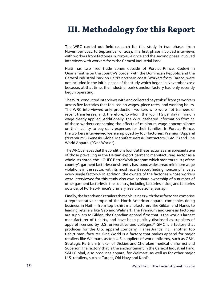# **III. Methodology for this Report**

**T**he WRC carried out field research for this study in two phases from November 2012 to September of 2013. The first phase involved interviews with workers from factories in Port-au-Prince and the second phase involved interviews with workers from the Caracol Industrial Park.

Haiti has two free trade zones outside of Port-au-Prince, Codevi in Ouanaminthe on the country's border with the Dominican Republic and the Caracol Industrial Park on Haiti's northern coast. Workers from Caracol were not included in the initial phase of the study which began in November 2012 because, at that time, the industrial park's anchor factory had only recently begun operating.

The WRC conducted interviews with and collected paystubs<sup>56</sup> from 72 workers across five factories that focused on wages, piece rates, and working hours. The WRC interviewed only production workers who were not trainees or recent transferees, and, therefore, to whom the 300 HTG per day minimum wage clearly applied. Additionally, the WRC gathered information from 22 of these workers concerning the effects of minimum wage noncompliance on their ability to pay daily expenses for their families. In Port-au-Prince, the workers interviewed were employed by four factories: Premium Apparel ("Premium"), Genesis, Global Manufacturers & Contractors ("GMC") and One World Apparel ("One World").

The WRC believes that the conditions found at these factories are representative of those prevailing in the Haitian export garment manufacturing sector as a whole. As noted, the ILO-IFC Better Work program which monitors all 24 of the country's garment factories consistently has found widespread minimum wage violations in the sector, with its most recent report finding noncompliance at every single factory.<sup>57</sup> In addition, the owners of the factories whose workers were interviewed for this study also own or share ownership of a number of other garment factories in the country, including factories inside, and factories outside, of Port-au-Prince's primary free trade zone, Sonapi.

Finally, the brands and retailers that do business with these factories comprise a representative sample of the North American apparel companies doing business in Haiti – from top t-shirt manufacturers like Gildan and Hanes to leading retailers like Gap and Walmart. The Premium and Genesis factories are suppliers to Gildan, the Canadian apparel firm that is the world's largest manufacturer of t-shirts, and have been publicly disclosed as suppliers of apparel licensed by U.S. universities and colleges.<sup>58</sup> GMC is a factory that produces for the U.S. apparel company, HanesBrands Inc., another top t-shirt manufacturer. One World is a factory that makes apparel for major retailers like Walmart, as top U.S. suppliers of work uniforms, such as G&K, Strategic Partners (maker of Dickies and Cherokee medical uniforms) and Superior. The factory that is the anchor tenant in the Caracol Industrial Park, S&H Global, also produces apparel for Walmart, as well as for other major U.S. retailers, such as Target, Old Navy and Kohl's.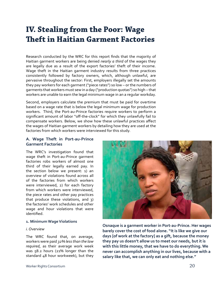### **IV. Stealing from the Poor: Wage Theft in Haitian Garment Factories**

Research conducted by the WRC for this report finds that the majority of Haitian garment workers are being denied *nearly a third* of the wages they are legally due as a result of the export factories' theft of their income. Wage theft in the Haitian garment industry results from three practices consistently followed by factory owners, which, although unlawful, are pervasive throughout the sector: First, employers illegally set the amounts they pay workers for each garment ("piece rates") so low – or the numbers of garments that workers must sew in a day ("production quotas") so high – that workers are unable to earn the legal minimum wage in an a regular workday.

Second, employers calculate the premium that must be paid for overtime based on a wage rate that is below the legal minimum wage for production workers. Third, the Port-au-Prince factories require workers to perform a significant amount of labor "off-the-clock" for which they unlawfully fail to compensate workers. Below, we show how these unlawful practices affect the wages of Haitian garment workers by detailing how they are used at the factories from which workers were interviewed for this study.

#### **A. Wage Theft in Port-au-Prince Garment Factories**

The WRC's investigation found that wage theft in Port-au-Prince garment factories robs workers of almost one third of their legally earned pay. In the section below we present: 1) an overview of violations found across all of the factories from which workers were interviewed, 2) for each factory from which workers were interviewed, the piece rates and other pay practices that produce these violations, and 3) the factories' work schedules and other wage and hour violations that were identified.

#### **1. Minimum Wage Violations**

#### *i. Overview*

The WRC found that, on average, workers were paid *32% less than the law required*, as their average work week was 58.2 hours (21% longer than the standard 48 hour workweek), but they



**Osnaque is a garment worker in Port-au-Prince. Her wages barely cover the cost of food alone. "It is like we give our days [of work at the factory] as a gift, because the money they pay us doesn't allow us to meet our needs, but it is with this little money, that we have to do everything. We never can accomplish anything in our lives, because with a salary like that, we can only eat and nothing else."**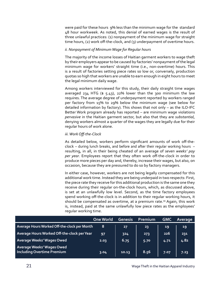were paid for these hours 9% less than the minimum wage for the standard 48 hour workweek. As noted, this denial of earned wages is the result of three unlawful practices: (1) nonpayment of the minimum wage for straight time hours, (2) work off-the-clock, and (3) underpayment of overtime hours.

#### *ii. Nonpayment of Minimum Wage for Regular hours*

The majority of the income losses of Haitian garment workers to wage theft by their employers appear to be caused by factories' nonpayment of the legal minimum wage for workers' straight time (i.e., non-overtime) hours. This is a result of factories setting piece rates so low or, conversely, production quotas so high that workers are unable to earn enough in eight hours to meet the legal minimum daily wage.

Among workers interviewed for this study, their daily straight time wages averaged 234 HTG ( $$ 5.43$ ), 22% lower than the 300 minimum the law requires. The average degree of underpayment reported by workers ranged per factory from 15% to 29% below the minimum wage (see below for detailed information by factory). This shows that not only – as the ILO-IFC Better Work program already has reported – are minimum wage violations *pervasive* in the Haitian garment sector, but also that they are *substantial*, denying workers almost a quarter of the wages they are legally due for their regular hours of work alone.

#### *iii. Work Off-the-Clock*

As detailed below, workers perform significant amounts of work off-theclock – during lunch breaks, and before and after their regular working hours – resulting, in all, in their being cheated of an average of *seven weeks' pay per year*. Employees report that they often work off-the-clock in order to produce more pieces per day and, thereby, increase their wages, but also, on occasion, because they are pressured to do so by factory managers.

In either case, however, workers are not being legally compensated for this additional work time. Instead they are being underpaid in two respects: First, the piece rate they receive for this additional production is the same one they receive during their regular on-the-clock hours, which, as discussed above, is set at an unlawfully low level. Second, as the time factory employees spend working off-the-clock is in addition to their regular working hours, it should be compensated as overtime, at a premium rate.<sup>59</sup> Again, this work is, instead, paid at the same unlawfully low piece rates as the employees' regular working time.

|                                                                | <b>One World</b> | <b>Genesis</b> | Premium | <b>GMC</b> | Average |
|----------------------------------------------------------------|------------------|----------------|---------|------------|---------|
| Average Hours Worked Off-the-clock per Month                   | 8                | 27             | 23      | 19         | 19      |
| Average Hours Worked Off-the-clock per Year                    | 97               | 324            | 273     | 226        | 231     |
| Average Weeks' Wages Owed                                      | 2.03             | 6.75           | 5.70    | 4.71       | 4.82    |
| Average Weeks' Wages Owed<br><b>Including Overtime Premium</b> | 3.04             | 10.13          | 8.56    | 7.07       | 7.23    |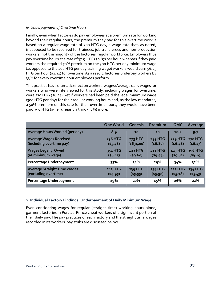#### *iv. Underpayment of Overtime Hours*

Finally, even when factories do pay employees at a premium rate for working beyond their regular hours, the premium they pay for this overtime work is based on a regular wage rate of 200 HTG day, a wage rate that, as noted, is supposed to be reserved for trainees, job transferees and non-production workers, not the majority of the factories' regular workforce. Employers thus pay overtime hours at a rate of 37.5 HTG (\$0.87) per hour, whereas if they paid workers the required 50% premium on the 300 HTG per day minimum wage (as opposed to the 200 HTG per day training wage) workers would earn 56.25 HTG per hour (\$1.31) for overtime. As a result, factories underpay workers by 33% for every overtime hour employees perform.

This practice has a dramatic effect onworkers'wages:Average dailywages for workers who were interviewed for this study, including wages for overtime, were 270 HTG (\$6.27). Yet if workers had been paid the legal minimum wage (300 HTG per day) for their regular working hours and, as the law mandates, a 50% premium on this rate for their overtime hours, they would have been paid 396 HTG (\$9.19), nearly a third (32%) more.

|                                                            | <b>One World</b>     | <b>Genesis</b>                | Premium                       | <b>GMC</b>                  | Average                       |
|------------------------------------------------------------|----------------------|-------------------------------|-------------------------------|-----------------------------|-------------------------------|
| Average Hours Worked (per day)                             | 8.9                  | 10                            | 10                            | 10.2                        | 9.7                           |
| <b>Average Wages Received</b><br>(including overtime pay)  | 236 HTG<br>(55.48)   | 273 HTG<br>$($ \$634.00)      | 293 HTG<br>(\$6.80)           | <b>279 HTG</b><br>( \$6.48) | <b>270 HTG</b><br>$($ \$6.27) |
| <b>Wages Legally Owed</b><br>(at minimum wage)             | 351 HTG<br>( \$8.15) | 413 HTG<br>(s9.60)            | 411 HTG<br>$($ \$9.54 $)$     | 423 HTG<br>$($ \$9.82 $)$   | 396 HTG<br>(59.19)            |
| Percentage Underpayment                                    | 33%                  | 34%                           | 29%                           | 34%                         | 32%                           |
| <b>Average Straight Time Wages</b><br>(excluding overtime) | 213 HTG<br>(4.95)    | <b>239 HTG</b><br>$($ \$5.55) | <b>254 HTG</b><br>$($ \$5.90) | <b>223 HTG</b><br>(55.18)   | <b>234 HTG</b><br>(55.43)     |
| Percentage Underpayment                                    | 29%                  | 20%                           | 15%                           | 26%                         | 22%                           |

#### **2. Individual Factory Findings: Underpayment of Daily Minimum Wage**

Even considering wages for regular (straight time) working hours alone, garment factories in Port-au-Prince cheat workers of a significant portion of their daily pay. The pay practices of each factory and the straight time wages recorded in its workers' pay stubs are discussed below.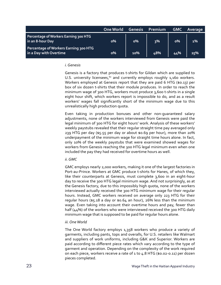|                                                                 | <b>One World</b> | <b>Genesis</b> | <b>Premium</b> | <b>GMC</b> | <b>Average</b> |
|-----------------------------------------------------------------|------------------|----------------|----------------|------------|----------------|
| Percentage of Workers Earning 300 HTG<br>in an 8-hour Day       | $\mathbf{0\%}$   | $0\%$          | 3%             | $o\%$      | $1\%$          |
| Percentage of Workers Earning 300 HTG<br>in a Day with Overtime | $\mathbf{0\%}$   | 10%            | 48%            | 44%        | 25%            |

#### *i. Genesis*

Genesis is a factory that produces t-shirts for Gildan which are supplied to U.S. university licensees, $60$  and currently employs roughly 1,160 workers. Workers employed at Genesis report that they are paid 6 HTG (\$0.13) per box of six dozen t-shirts that their module produces. In order to reach the minimum wage of 300 HTG, workers must produce 3,600 t-shirts in a single eight hour shift, which workers report is impossible to do, and as a result workers' wages fall significantly short of the minimum wage due to this unrealistically high production quota.

Even taking in production bonuses and other non-guaranteed salary adjustments, none of the workers interviewed from Genesis were paid the legal minimum of 300 HTG for eight hours' work. Analysis of these workers' weekly paystubs revealed that their regular straight time pay averaged only 239 HTG per day (\$5.55 per day or about \$0.69 per hour), more than 20% underpayment of the minimum wage for straight time hours alone. In fact, only 10% of the weekly paystubs that were examined showed wages for workers from Genesis reaching the 300 HTG legal minimum even when one included the pay they had received for overtime hours as well.

#### *ii. GMC*

GMC employs nearly 2,000 workers, making it one of the largest factories in Port-au-Prince. Workers at GMC produce t-shirts for Hanes, of which they, like their counterparts at Genesis, must complete 3,600 in an eight-hour day to receive the 300 HTG legal minimum wage. And not surprisingly, as at the Genesis factory, due to this impossibly high quota, none of the workers interviewed actually received the 300 HTG minimum wage for their regular hours. Instead, GMC workers received on average only 223 HTG for their regular hours (\$5.18 a day or \$0.64 an hour), 26% less than the minimum wage. Even taking into account their overtime hours and pay, fewer than half (44%) of the workers who were interviewed received the 300 HTG daily minimum wage that is supposed to be paid for regular hours alone.

#### *iii. One World*

The One World factory employs 1,358 workers who produce a variety of garments, including pants, tops and overalls, for U.S. retailers like Walmart and suppliers of work uniforms, including G&K and Superior. Workers are paid according to different piece rates which vary according to the type of garment and operation. Depending on the complexity of the work required on each piece, workers receive a rate of 1 to 4.8 HTG (\$0.02-0.11) per dozen pieces completed.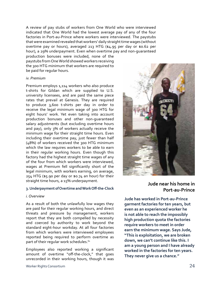A review of pay stubs of workers from One World who were interviewed indicated that One World had the lowest average pay of any of the four factories in Port-au-Prince where workers were interviewed. The paystubs that were examined revealed that workers' daily straight time wages (without overtime pay or hours), averaged 213 HTG (\$4.95 per day or \$0.62 per hour), a 29% underpayment. Even when overtime pay and non-guaranteed

production bonuses were included, none of the paystubs from One World showed workers receiving the 300 HTG minimum that workers are required to be paid for regular hours.

#### *iv. Premium*

Premium employs 1,114 workers who also produce t-shirts for Gildan which are supplied to U.S. university licensees, and are paid the same piece rates that prevail at Genesis. They are required to produce 3,600 t-shirts per day in order to receive the legal minimum wage of 300 HTG for eight hours' work. Yet even taking into account production bonuses and other non-guaranteed salary adjustments (but excluding overtime hours and pay), only 3% of workers actually receive the minimum wage for their straight time hours. Even including their overtime pay, just fewer than half (48%) of workers received the 300 HTG minimum which the law requires workers to be able to earn in their regular working hours. Even though this factory had the highest straight time wages of any of the four from which workers were interviewed, wages at Premium fell significantly short of the legal minimum, with workers earning, on average, 254 HTG (\$5.90 per day or \$0.74 an hour) for their straight time hours, a 15% underpayment.

#### **3.Underpayment ofOvertime andWorkOff-the-Clock**

#### *i. Overview*

As a result of both the unlawfully low wages they are paid for their regular working hours, and direct threats and pressure by management, workers report that they are both compelled by necessity and coerced by authority to work beyond the standard eight-hour workday. At all four factories from which workers were interviewed employees reported being required to perform overtime as part of their regular work schedules.<sup>61</sup>

Employees also reported working a significant amount of overtime "off-the-clock," that goes unrecorded in their working hours, though it was



**garment factories for ten years, but even as an experienced worker he is not able to reach the impossibly high production quota the factories require workers to meet in order earn the minimum wage. Says Jude, "This is exploitation, we are broken down, we can't continue like this. I am a young person and I have already worked in the factories for ten years. They never give us a chance."**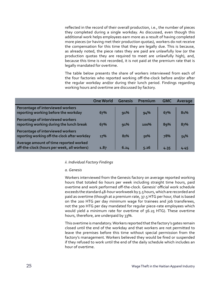reflected in the record of their overall production, i.e., the number of pieces they completed during a single workday. As discussed, even though this additional work helps employees earn more as a result of having completed more pieces (or having met their production quotas), workers do not receive the compensation for this time that they are legally due. This is because, as already noted, the piece rates they are paid are unlawfully low (or the production quotas they are required to meet are unlawfully high), and, because this time is not recorded, it is not paid at the premium rate that is legally mandated for overtime.

The table below presents the share of workers interviewed from each of the four factories who reported working off-the-clock before and/or after the regular workday and/or during their lunch period. Findings regarding working hours and overtime are discussed by factory.

|                                                                                       | <b>One World</b> | Genesis | Premium | <b>GMC</b> | Average |
|---------------------------------------------------------------------------------------|------------------|---------|---------|------------|---------|
| Percentage of interviewed workers<br>reporting working before the workday             | 67%              | 91%     | 94%     | 67%        | 81%     |
| Percentage of interviewed workers<br>reporting working during the lunch break         | 67%              | 91%     | 100%    | 89%        | 87%     |
| Percentage of interviewed workers<br>reporting working off-the-clock after workday    | 17%              | 82%     | 50%     | 78%        | 54%     |
| Average amount of time reported worked<br>off-the-clock (hours per week, all workers) | 1.87             | 6.24    | 5.26    | 4.35       | 4.45    |

#### *ii. Individual Factory Findings*

#### *a. Genesis*

Workers interviewed from the Genesis factory on average reported working hours that totaled 60 hours per week including straight time hours, paid overtime and work performed off-the-clock. Genesis' official work schedule exceeds the standard 48-hour workweek by 5.5 hours, which are recorded and paid as overtime (though at a premium rate, 37.5 HTG per hour, that is based on the 200 HTG per day minimum wage for trainees and job transferees, not the 300 HTG per day mandated for regular piece-rate employees which would yield a minimum rate for overtime of 56.25 HTG). These overtime hours, therefore, are underpaid by 33%.

This overtime is mandatory. Workers reported that the factory's gates remain closed until the end of the workday and that workers are not permitted to leave the premises before this time without special permission from the factory's management. Workers believed they would be fired or suspended if they refused to work until the end of the daily schedule which includes an hour of overtime.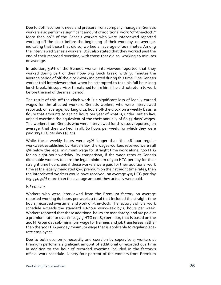Due to both economic need and pressure from company managers, Genesis workers also perform a significant amount of additional work "off-the-clock." More than 90% of the Genesis workers who were interviewed reported working off-the-clock before the beginning of their workday, on average, indicating that those that did so, worked an average of 20 minutes. Among the interviewed Genesis workers, 82% also stated that they worked past the end of their recorded overtime, with those that did so, working 19 minutes on average.

In addition, 91% of the Genesis worker interviewees reported that they worked during part of their hour-long lunch break, with 35 minutes the average period of off-the-clock-work indicated during this time. One Genesis worker told interviewers that when he attempted to take his full hour-long lunch break, his supervisor threatened to fire him if he did not return to work before the end of the meal period.

The result of this off-the-clock work is a significant loss of legally-earned wages for the affected workers. Genesis workers who were interviewed reported, on average, working 6.24 hours off-the-clock on a weekly basis, a figure that amounts to 342.22 hours per year of what is, under Haitian law, unpaid overtime the equivalent of the theft annually of 60.79 days' wages. The workers from Genesis who were interviewed for this study reported, on average, that they worked, in all, 60 hours per week, for which they were paid 273 HTG per day (\$6.34).

While these weekly hours were 25% longer than the 48-hour regular workweek established by Haitian law, the wages workers received were still 9% below the legal minimum wage for straight time work alone, 300 HTG for an eight-hour workday. By comparison, if the wage rates at Genesis did enable workers to earn the legal minimum of 300 HTG per day for their straight time hours, and if these workers were paid for their additional work time at the legally mandated 50% premium on their straight time rates, then the interviewed workers would have received, on average 413 HTG per day (\$9.59), 34% more than the average amount they actually were paid.

#### *b. Premium*

Workers who were interviewed from the Premium factory on average reported working 60 hours per week, a total that included the straight time hours, recorded overtime, and work off-the-clock.The factory's official work schedule exceeds the standard 48-hour workweek by 6 hours per week. Workers reported that these additional hours are mandatory, and are paid at a premium rate for overtime, 37.5 HTG (\$0.87) per hour, that is based on the 200 HTG per day sub-minimum wage for trainees and job transferees, rather than the 300 HTG per day minimum wage that is applicable to regular piecerate employees.

Due to both economic necessity and coercion by supervisors, workers at Premium perform a significant amount of additional unrecorded overtime in addition to the hour of recorded overtime included in the factory's official work schedule. Ninety-four percent of the workers from Premium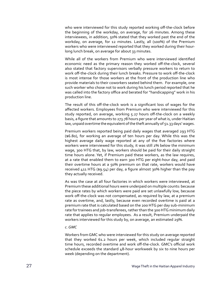who were interviewed for this study reported working off-the-clock before the beginning of the workday, on average, for 26 minutes. Among these interviewees, in addition, 50% stated that they worked past the end of the workday, on average, for 12 minutes. Lastly, all (100%) of the Premium workers who were interviewed reported that they worked during their hourlong lunch break, on average for about 33 minutes.

While all of the workers from Premium who were interviewed identified economic need as the primary reason they worked off-the-clock, several also stated that factory supervisors verbally pressure workers to return to work off-the-clock during their lunch breaks. Pressure to work off-the-clock is most intense for those workers at the front of the production line who provide materials to their coworkers seated behind them. For example, one such worker who chose not to work during his lunch period reported that he was called into the factory office and berated for "handicapping" work in his production line.

The result of this off-the-clock work is a significant loss of wages for the affected workers. Employees from Premium who were interviewed for this study reported, on average, working 5.27 hours off-the-clock on a weekly basis, a figure that amounts to 273.78 hours per year of what is, under Haitian law, unpaid overtime the equivalent of the theft annually of 51.33 days' wages.

Premium workers reported being paid daily wages that averaged 293 HTG (\$6.80), for working an average of ten hours per day. While this was the highest average daily wage reported at any of the five factories where workers were interviewed for this study, it was still 2% below the minimum wage, 300 HTG that, by law, workers should be paid for their daily straight time hours alone. Yet, if Premium paid these workers, as the law requires, at a rate that enabled them to earn 300 HTG per eight-hour day, and paid their overtime hours at a 50% premium on that rate, workers would have received 411 HTG (\$9.54) per day, a figure almost 30% higher than the pay they actually received.

As was the case at all four factories in which workers were interviewed, at Premium these additional hours were underpaid on multiple counts: because the piece rates by which workers were paid are set unlawfully low, because work off-the-clock was not compensated, as required by law, at a premium rate as overtime, and, lastly, because even recorded overtime is paid at a premium rate that is calculated based on the 200 HTG per day sub-minimum rate for trainees and job-transferees, rather than the 300 HTG minimum daily rate that applies to regular employees. As a result, Premium underpaid the workers interviewed for this study by, on average, an estimated 29%.

#### *c. GMC*

Workers from GMC who were interviewed for this study on average reported that they worked 61.2 hours per week, which included regular straight time hours, recorded overtime and work off-the-clock. GMC's official work schedule exceeds the standard 48-hour workweek by six to nine hours per week (depending on the department).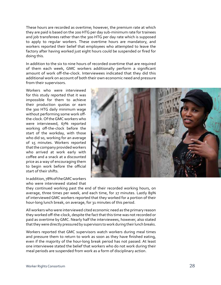These hours are recorded as overtime; however, the premium rate at which they are paid is based on the 200 HTG per day sub-minimum rate for trainees and job transferees rather than the 300 HTG per day rate which is supposed to apply to regular workers. These overtime hours are mandatory, and workers reported their belief that employees who attempted to leave the factory after having worked just eight hours could be suspended or fired for doing this.

In addition to the six to nine hours of recorded overtime that are required of them each week, GMC workers additionally perform a significant amount of work off-the-clock. Interviewees indicated that they did this additional work on account of both their own economic need and pressure from their supervisors.

Workers who were interviewed for this study reported that it was impossible for them to achieve their production quotas or earn the 300 HTG daily minimum wage without performing some work offthe-clock. Of the GMC workers who were interviewed, 67% reported working off-the-clock before the start of the workday, with those who did so, working for an average of 15 minutes. Workers reported that the company provided workers who arrived at work early with coffee and a snack at a discounted price as a way of encouraging them to begin work before the official start of their shifts.



In addition, 78% of the GMC workers who were interviewed stated that

they continued working past the end of their recorded working hours, on average, three times per week, and each time, for 27 minutes. Lastly 89% of interviewed GMC workers reported that they worked for a portion of their hour-long lunch break, on average, for 31 minutes of this period.

All workers who were interviewed cited economic need as the primary reason they worked off-the-clock, despite the fact that this time was not recorded or paid as overtime by GMC. Nearly half the interviewees, however, also stated that they were directly pressured by supervisors to work during their lunch breaks.

Workers reported that GMC supervisors watch workers during meal times and pressure them to return to work as soon as they have finished eating, even if the majority of the hour-long break period has not passed. At least one interviewee stated the belief that workers who do not work during their meal periods are suspended from work as a form of disciplinary action.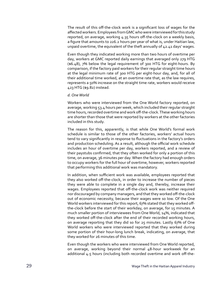The result of this off-the-clock work is a significant loss of wages for the affected workers. Employees from GMC who were interviewed for this study reported, on average, working 4.35 hours off-the-clock on a weekly basis, a figure that amounts to 226.2 hours per year of what is, under Haitian law, unpaid overtime, the equivalent of the theft annually of 42.41 days' wages.

Even though they indicated working more than two hours of overtime per day, workers at GMC reported daily earnings that averaged only 279 HTG (\$6.48), 7% below the legal requirement of 300 HTG for eight-hours. By comparison, if the factory paid workers for their regular straight time hours at the legal minimum rate of 300 HTG per eight-hour day, and, for all of their additional time worked, at an overtime rate that, as the law requires, represents a 50% increase on the straight time rate, workers would receive 423 HTG (\$9.82) instead.

#### *d. One World*

Workers who were interviewed from the One World factory reported, on average, working 53.4 hours per week, which included their regular straight time hours, recorded overtime and work off-the-clock. These working hours are shorter than those that were reported by workers at the other factories included in this study.

The reason for this, apparently, is that while One World's formal work schedule is similar to those of the other factories, workers' actual hours tend to vary significantly in response to fluctuations in the factory's orders and production scheduling. As a result, although the official work schedule includes an hour of overtime per day, workers reported, and a review of their paystubs confirmed, that they often worked for only a portion of this time, on average, 36 minutes per day. When the factory had enough orders to occupy workers for the full hour of overtime, however, workers reported that performing this additional work was mandatory.

In addition, when sufficient work was available, employees reported that they also worked off-the-clock, in order to increase the number of pieces they were able to complete in a single day and, thereby, increase their wages. Employees reported that off-the-clock work was neither required nor discouraged by company managers, and that they worked off-the-clock out of economic necessity, because their wages were so low. Of the One World workers interviewed for this report, 67% stated that they worked offthe-clock before the start of their workday, on average, for 15 minutes. A much smaller portion of interviewees from One World, 14%, indicated that they worked off-the-clock after the end of their recorded working hours, on average reporting that they did so for 25 minutes. Lastly 67% of One World workers who were interviewed reported that they worked during some portion of their hour-long lunch break, indicating, on average, that they worked for 26 minutes of this time.

Even though the workers who were interviewed from One World reported, on average, working beyond their normal 48-hour workweek for an additional 4.5 hours (including both recorded overtime and work off-the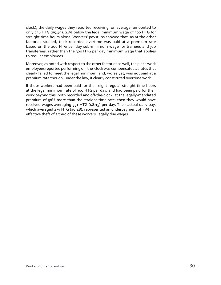clock), the daily wages they reported receiving, on average, amounted to only 236 HTG (\$5.49), 21% below the legal minimum wage of 300 HTG for straight time hours alone. Workers' paystubs showed that, as at the other factories studied, their recorded overtime was paid at a premium rate based on the 200 HTG per day sub-minimum wage for trainees and job transferees, rather than the 300 HTG per day minimum wage that applies to regular employees.

Moreover, as noted with respect to the other factories as well, the piece work employees reported performing off-the-clock was compensated atrates that clearly failed to meet the legal minimum, and, worse yet, was not paid at a premium rate though, under the law, it clearly constituted overtime work.

If these workers had been paid for their eight regular straight-time hours at the legal minimum rate of 300 HTG per day, and had been paid for their work beyond this, both recorded and off-the-clock, at the legally-mandated premium of 50% more than the straight time rate, then they would have received wages averaging 351 HTG (\$8.15) per day. Their actual daily pay, which averaged 279 HTG (\$6.48), represented an underpayment of 33%, an effective theft of a third of these workers' legally due wages.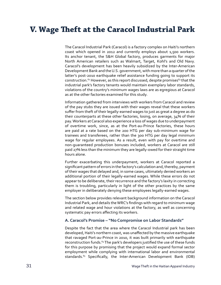# **V. Wage Theft at the Caracol Industrial Park**

The Caracol Industrial Park (Caracol) is a factory complex on Haiti's northern coast which opened in 2012 and currently employs about 1,500 workers. Its anchor tenant, the S&H Global factory, produces garments for major North American retailers such as Walmart, Target, Kohl's and Old Navy. Caracol's development has been heavily subsidized by the Inter-American Development Bank and the U.S. government, with more than a quarter of the latter's post-2010 earthquake relief assistance funding going to support its construction.<sup>62</sup> However, as this report discussed, despite promises<sup>63</sup> that the industrial park's factory tenants would maintain exemplary labor standards, violations of the country's minimum wages laws are as egregious at Caracol as at the other factories examined for this study.

Information gathered from interviews with workers from Caracol and review of the pay stubs they are issued with their wages reveal that these workers suffer from theft of their legally-earned wages to just as great a degree as do their counterparts at these other factories, losing, on average, 34% of their pay. Workers at Caracol also experience a loss of wages due to underpayment of overtime work, since, as at the Port-au-Prince factories, these hours are paid at a rate based on the 200 HTG per day sub-minimum wage for trainees and transferees, rather than the 300 HTG per day legal minimum wage for regular employees. As a result, even with pay for overtime and non-guaranteed production bonuses included, workers at Caracol are still paid 27% less than the minimum they are legally-owed for their straight time hours alone.

Further exacerbating this underpayment, workers at Caracol reported a significant pattern of errors in the factory's calculation and, thereby, payment of their wages that delayed and, in some cases, ultimately denied workers an additional portion of their legally-earned wages. While these errors do not appear to be deliberate, their recurrence and the factory's laxity in correcting them is troubling, particularly in light of the other practices by the same employer in deliberately denying these employees legally-earned wages.

The section below provides relevant background information on the Caracol Industrial Park, and details theWRC's findings with regard to minimum wage and related wage and hour violations at the factory, as well as concerning systematic pay errors affecting its workers.

#### **A. Caracol's Promise – "No Compromise on Labor Standards"**

Despite the fact that the area where the Caracol Industrial park has been developed, Haiti's northern coast, was unaffected by the massive earthquake that ravaged Port-au-Prince in 2010, it was built primarily with earthquake reconstruction funds.<sup>64</sup> The park's developers justified the use of these funds for this purpose by promising that the project would expand formal sector employment while complying with international labor and environmental standards.<sup>65</sup> Specifically, the Inter-American Development Bank (IDB)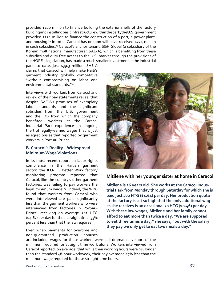provided \$100 million to finance building the exterior shells of the factory buildingandinstallingbasicinfrastructurewithinthepark;theU.S.government provided \$124 million to finance the construction of a port, a power plant, and housing.<sup>66</sup> In total, Caracol has or soon will have received \$224 million in such subsidies.<sup>67</sup> Caracol's anchor tenant, S&H Global (a subsidiary of the Korean multinational manufacturer, SAE-A), which is benefiting from these subsidies and duty free access to the U.S. market through the provisions of the HOPE II legislation, has made a much smaller investment in the industrial

park, to date, just \$39.3 million. SAE-A claims that Caracol will help make Haiti's garment industry globally competitive "without compromising on labor and environmental standards."68

Interviews with workers from Caracol and review of their pay statements reveal that despite SAE-A's promises of exemplary labor standards and the significant subsidies from the U.S. government and the IDB from which the company benefited, workers at the Caracol Industrial Park experience an ongoing theft of legally-earned wages that is just as egregious as that reported by garment workers in Port-au-Prince.

#### **B. Caracol's Reality – Widespread Minimum Wage Violations**

In its most recent report on labor rights compliance in the Haitian garment sector, the ILO-IFC Better Work factory monitoring program reported that Caracol, like the country's other garment factories, was failing to pay workers the legal minimum wage.<sup>69</sup> Indeed, the WRC found that workers from Caracol who were interviewed are paid significantly less than the garment workers who were interviewed from factories in Port-au-Prince, receiving on average 201 HTG (\$4.67) per day for their straight time, 33% percent less than that the law requires.

Even when payments for overtime and non-guaranteed production bonuses



#### **Mitilene with her younger sister at home in Caracol**

**Mitilene is 26 years old. She works at the Caracol Industrial Park from Monday through Saturday for which she is paid just 200 HTG (\$4.64) per day. Her production quota at the factory is set so high that the only additional wages she receives is an occasional 20 HTG (\$0.46) per day. With these low wages, Mitilene and her family cannot afford to eat more than twice a day. "We are supposed to eat three times a day," she says, "but with the salary they pay we only get to eat two meals a day."** 

are included, wages for these workers were still dramatically short of the minimum required for straight time work alone. Workers interviewed from Caracol reported, on average, that while their working hours were 9% longer than the standard 48-hour workweek, their pay averaged 27% less than the minimum wage required for these straight time hours.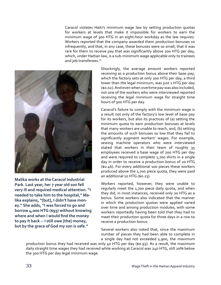Caracol violates Haiti's minimum wage law by setting production quotas for workers at levels that make it impossible for workers to earn the minimum wage of 300 HTG in an eight-hour workday as the law requires. Workers reported that the company awarded them production bonuses so infrequently, and that, in any case, these bonuses were so small, that it was rare for them to receive pay that was significantly above 200 HTG per day, which, under Haitian law, is a sub-minimum wage applicable only to trainees and job transferees.<sup>70</sup>



**Malika works at the Caracol Industrial Park. Last year, her 7 year old son fell very ill and required medical attention. "I needed to take him to the hospital," Malika explains, "[but], I didn't have money." She adds, "I was forced to go and borrow 4,000 HTG (\$93) without knowing where and when I would find the money to pay it back -- I still owe [the] money, but by the grace of God my son is safe."**

Shockingly, the average amount workers reported receiving as a production bonus above their base pay, which the factory sets at only 200 HTG per day, a third lower than the legal minimum, was just 1 HTG per day (\$0.02). And even when overtime pay was also included, not one of the workers who were interviewed reported receiving the legal minimum wage for straight time hours of 300 HTG per day.

Caracol's failure to comply with the minimum wage is a result not only of the factory's low level of base pay for its workers, but also its practices of (a) setting the minimum quota to earn production bonuses at levels that many workers are unable to reach, and, (b) setting the amounts of such bonuses so low that they fail to significantly augment workers' wages. For example, sewing machine operators who were interviewed stated that workers in their team of roughly 35 employees received a base wage of 200 HTG per day and were required to complete 1,700 shirts in a single day in order to receive a production bonus of 20 HTG (\$0.46). For every additional 100 pieces these workers produced above the 1,700 piece quota, they were paid an additional 10 HTG (\$0.23).

Workers reported, however, they were unable to regularly meet the 1,700 piece daily quota, and when they did, in most instances, received only 20 HTG as a bonus. Some workers also indicated that the manner in which the production quotas were applied varied over time and among production modules, with some workers reportedly having been told that they had to meet their production quota for three days in a row to receive a production bonus.

Several workers also noted that, since the maximum number of pieces they had been able to complete in a single day had not exceeded 1,900, the maximum

production bonus they had received was only 40 HTG per day (\$0.93). As a result, the maximum daily straight time wages they had received while working at Caracol was 240 HTG, still 20% below the 300 HTG per day legal minimum wage.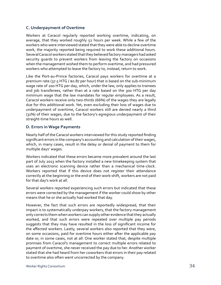#### **C. Underpayment of Overtime**

Workers at Caracol regularly reported working overtime, indicating, on average, that they worked roughly 52 hours per week. While a few of the workers who were interviewed stated that they were able to decline overtime work, the majority reported being required to work these additional hours. Several Caracol workers stated that they believed factory managers had asked security guards to prevent workers from leaving the factory on occasions when the management wished them to perform overtime, and had pressured workers who attempted to leave the factory to, instead, return to work.

Like the Port-au-Prince factories, Caracol pays workers for overtime at a premium rate (37.5 HTG / \$0.87 per hour) that is based on the sub-minimum wage rate of 200 HTG per day, which, under the law, only applies to trainees and job transferees, rather than at a rate based on the 300 HTG per day minimum wage that the law mandates for regular employees. As a result, Caracol workers receive only two-thirds (66%) of the wages they are legally due for this additional work. Yet, even excluding their loss of wages due to underpayment of overtime, Caracol workers still are denied nearly a third (31%) of their wages, due to the factory's egregious underpayment of their straight-time hours as well.

#### **D. Errors in Wage Payments**

Nearly half of theCaracol workers interviewed for this study reported finding significant errors in the company's accounting and calculation of their wages, which, in many cases, result in the delay or denial of payment to them for multiple days' wages.

Workers indicated that these errors became more prevalent around the last part of July 2013 when the factory installed a new timekeeping system that uses an electronic scanning device rather than a mechanical time-clock. Workers reported that if this device does not register their attendance correctly at the beginning or the end of their work-shift, workers are not paid for that day's work at all.

Several workers reported experiencing such errors but indicated that these errors were corrected by the management if the worker could show by other means that he or she actually had worked that day.

However, the fact that such errors are reportedly widespread, that their impact is to systematically underpay workers, that the factory management only corrects them when workers can supply other evidence that they actually worked, and that such errors were repeated over multiple pay periods suggests that they may have resulted in the loss of significant income for the affected workers. Lastly, several workers also reported that they were, on some occasions, paid for overtime hours either after the applicable pay date or, in some cases, not at all. One worker stated that, despite multiple promises from Caracol's management to correct multiple errors related to payment of overtime, she never received the pay due to her. Another worker stated that she had heard from her coworkers that errors in their pay related to overtime also often went uncorrected by the company.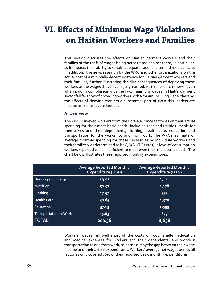# **VI. Effects of Minimum Wage Violations on Haitian Workers and Families**

This section discusses the effects on Haitian garment workers and their families of the theft of wages being perpetrated against them, in particular, as it impacts their ability to obtain adequate food, shelter and medical care. In addition, it reviews research by the WRC and other organizations on the actual cost of a minimally decent existence for Haitian garment workers and their families, further illustrating the dire consequences of depriving these workers of the wages they have legally-earned. As this research shows, even when paid in compliance with the law, minimum wages in Haiti's garment sector fall far short of providing workers with a minimum living wage, thereby, the effects of denying workers a substantial part of even this inadequate income are quite severe indeed.

#### **A. Overview**

The WRC surveyed workers from the Port-au-Prince factories on their actual spending for their most basic needs, including rent and utilities, meals for themselves and their dependents, clothing, health care, education and transportation for the worker to and from work. The WRC's estimate of average monthly spending for these necessities by individual workers and their families was determined to be 8,638 HTG (\$201), a level of consumption workers reported to be insufficient to meet even their most basic needs. The chart below illustrates these reported monthly expenditures:

|                               | <b>Average Reported Monthly</b><br><b>Expenditure (USD)</b> | <b>Average Reported Monthly</b><br><b>Expenditure (HTG)</b> |
|-------------------------------|-------------------------------------------------------------|-------------------------------------------------------------|
| <b>Housing and Energy</b>     | 49.01                                                       | 2,111                                                       |
| Nutrition                     | 50.57                                                       | 2,178                                                       |
| <b>Clothing</b>               | 17.57                                                       | 757                                                         |
| <b>Health Care</b>            | 30.65                                                       | 1,320                                                       |
| Education                     | 37.13                                                       | 1,599                                                       |
| <b>Transportation to Work</b> | 15.63                                                       | 673                                                         |
| <b>TOTAL</b>                  | 200.56                                                      | 8,638                                                       |

Workers' wages fell well short of the costs of food, shelter, education and medical expenses for workers and their dependents, and workers' transportation to and from work, as borne out by the gap between their wage income and their actual expenditures. Workers' average net wages across all factories only covered 76% of their reported basic monthly expenditures.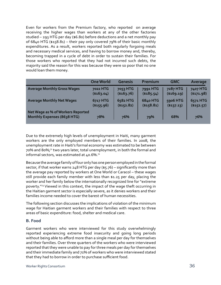Even for workers from the Premium factory, who reported on average receiving the higher wages than workers at any of the other factories studied – 293 HTG per day (\$6.80) before deductions and a net monthly pay of 6840 HTG (\$158.81) – their pay only covered 79% of their basic monthly expenditures. As a result, workers reported both regularly forgoing meals and necessary medical services, and having to borrow money and, thereby, becoming trapped in a cycle of debt in order to sustain their families. For those workers who reported that they had not incurred such debts, the majority said the reason for this was because they were so poor that no one would loan them money.

|                                                                  | <b>One World</b> | <b>Genesis</b> | Premium         | <b>GMC</b>  | Average     |
|------------------------------------------------------------------|------------------|----------------|-----------------|-------------|-------------|
| <b>Average Monthly Gross Wages</b>                               | <b>7022 HTG</b>  | 7053 HTG       | 7991 HTG        | 7287 HTG    | 7407 HTG    |
|                                                                  | (\$163.04)       | $(*163.76)$    | ( \$185.54)     | (\$169.19)  | ( \$171.98) |
| <b>Average Monthly Net Wages</b>                                 | 6717 HTG         | 6582 HTG       | <b>6840 HTG</b> | 5906 HTG    | 6571 HTG    |
|                                                                  | ( \$155.96)      | ( \$152.82)    | ( \$158.81)     | ( \$137.13) | (\$152.57)  |
| Net Wage as % of Workers Reported<br>Monthly Expenses (8638 HTG) | 78%              | 76%            | 79%             | 68%         | 76%         |

Due to the extremely high levels of unemployment in Haiti, many garment workers are the only employed members of their families. In 2008, the unemployment rate in Haiti's formal economy was estimated to be between 70% and 80%;71 two years later, total unemployment, in both the formal and informal sectors, was estimated at  $40.6\%$ .<sup>72</sup>

Because the average family of four only has one person employed in the formal sector, if that worker earns 248 HTG per day (\$5.76) – significantly more than the average pay reported by workers at One World or Caracol – these wages still provide each family member with less than \$1.25 per day, placing the worker and her family below the internationally recognized line for "extreme poverty."73 Viewed in this context, the impact of the wage theft occurring in the Haitian garment sector is especially severe, as it denies workers and their families income needed to cover the barest of human necessities.

The following section discusses the implications of violation of the minimum wage for Haitian garment workers and their families with respect to three areas of basic expenditure: food, shelter and medical care.

#### **B. Food**

Garment workers who were interviewed for this study overwhelmingly reported experiencing extreme food insecurity and going long periods without being able to afford more than a single meal per day for themselves and their families. Over three quarters of the workers who were interviewed reported that they were unable to pay for three meals per day for themselves and their immediate family and 71% of workers who were interviewed stated that they had to borrow in order to purchase sufficient food.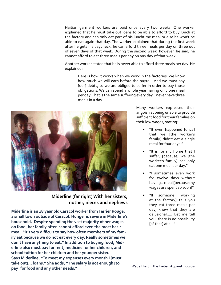Haitian garment workers are paid once every two weeks. One worker explained that he must take out loans to be able to afford to buy lunch at the factory and can only eat part of his lunchtime meal or else he won't be able to eat again that day. The worker explained that during the first week after he gets his paycheck, he can afford three meals per day on three out of seven days of that week. During the second week, however, he said, he cannot afford to eat three meals per day on any day of that week.

Another worker stated that he is never able to afford three meals per day. He explained:

Here is how it works when we work in the factories: We know how much we will earn before the payroll. And we must pay [our] debts, so we are obliged to suffer in order to pay those obligations. We can spend a whole year having only one meal per day. That is the same suffering every day. I never have three meals in a day.



**Miderline (far right) With her sisters, mother, nieces and nephews** 

**Miderline is an 18 year old Caracol worker from Terrier Rouge, a small town outside of Caracol. Hunger is severe in Miderline's household. Despite spending the vast majority of her wages on food, her family often cannot afford even the most basic meal. "It's very difficult to say how often members of my family eat because we do not eat every day. Really sometimes we don't have anything to eat." In addition to buying food, Miderline also must pay for rent, medicine for her children, and school tuition for her children and her younger sister. Says Miderline, "To meet my expenses every month I [must take out]… loans." She adds, "The salary is not enough [to pay] for food and any other needs."** *pay]* **for food and any other needs." Wage Theft in the Haitian Apparel Industry** 

Many workers expressed their anguish at being unable to provide sufficient food for their families on their low wages, stating:

- "It even happened [once] that we [the worker's family] didn't eat a single meal for four days."
- "It is for my home that I suffer, [because] we [the worker's family] can only eat one meal per day."
- "I sometimes even work for twelve days without having a meal [because my wages are spent so soon]"
- "If someone [working at the factory] tells you they eat three meals per day, know that they are delusional..... Let me tell you, there is no possibility [of that] at all."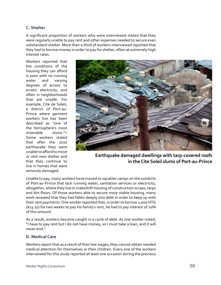#### **C. Shelter**

A significant proportion of workers who were interviewed stated that they were regularly unable to pay rent and other expenses needed to secure even substandard shelter. More than a third of workers interviewed reported that they had to borrow money in order to pay for shelter, often at extremely high interest rates.

Workers reported that the conditions of the housing they can afford is poor with no running water and varying degrees of access to erratic electricity, and often in neighborhoods that are unsafe. For example, Cite de Soleil, a district of Port-au-Prince where garment workers live has been described as "one of the hemisphere's most miserable slums."74 Some workers stated that after the 2010 earthquake they were unable to afford to move or rent new shelter and that they continue to live in homes that were seriously damaged.



**Earthquake damaged dwellings with tarp-covered roofs in the Cite Soleil slums of Port-au-Prince**

Unable to pay, many workers have moved to squatter camps on the outskirts of Port-au-Prince that lack running water, sanitation services or electricity, altogether, where they live in makeshift housing of construction scraps, tarps and dirt floors. Of those workers able to secure more stable housing, many work revealed that they had fallen deeply into debt in order to keep up with their rent payments. One worker reported that, in order to borrow 1,000 HTG (\$23.22) for two weeks to pay his family's rent, he had to pay interest of 20% of this amount.

As a result, workers become caught in a cycle of debt. As one worker noted, "I have to pay rent but I do not have money, so I must take a loan, and it will never end."

#### **D. Medical Care**

Workers report that as a result of their low wages, they cannot obtain needed medical attention for themselves or their children. Every one of the workers interviewed for this study reported at least one occasion during the previous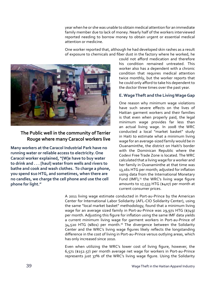year when he or she was unable to obtain medical attention for an immediate family member due to lack of money. Nearly half of the workers interviewed reported needing to borrow money to obtain urgent or essential medical attention or medicine.

One worker reported that, although he had developed skin rashes as a result of exposure to chemicals and fiber dust in the factory where he worked, he



#### **The Public well in the community of Terrier Rouge where many Caracol workers live**

**Many workers at the Caracol Industrial Park have no running water or reliable access to electricity. One Caracol worker explained, "[W]e have to buy water to drink and . . . [haul] water from wells and rivers to bathe and cook and wash clothes. To charge a phone, you spend \$10 HTG, and sometimes, when there are no candles, we charge the cell phone and use the cell phone for light."**

could not afford medication and therefore his condition remained untreated. This worker also has a dependent with a chronic condition that requires medical attention twice monthly, but the worker reports that he could only afford to take his dependent to the doctor three times over the past year.

#### **E. Wage Theft and the Living Wage Gap**

One reason why minimum wage violations have such severe effects on the lives of Haitian garment workers and their families is that even when properly paid, the legal minimum wage provides far less than an actual living wage. In 2008 the WRC conducted a local "market basket" study in Haiti to estimate what a minimum living wage for an average-sized family would be in Ouanaminthe, the district on Haiti's border with the Dominican Republic where the Codevi Free Trade Zone is located. The WRC calculated that a living wage for a worker and her family in Ouanaminthe at that time was 13,161 HTG per month; adjusted for inflation using data from the International Monetary Fund (IMF), $75$  the WRC's living wage figure amounts to 17,533 HTG (\$407) per month at current consumer prices.

A 2011 living wage estimate conducted in Port-au-Prince by the American Center for International Labor Solidarity (AFL-CIO Solidarity Center), using the same "local market basket" methodology, found that a minimum living wage for an average sized family in Port-au-Prince was 29,971 HTG (\$749) per month. Adjusting this figure for inflation using the same IMF data yields a current minimum living wage for garment workers in Port-au-Prince of 34,520 HTG (\$801) per month.<sup>76</sup> The divergence between the Solidarity Center and the WRC's living wage figures likely reflects the longstanding difference in the cost of living in Port-au-Prince versus outlying areas, which has only increased since 2010.

Even when utilizing the WRC's lower cost of living figure, however, the 6,571 (\$152.57) per month average net wage for workers in Port-au-Prince represents just 37% of the WRC's living wage figure. Using the Solidarity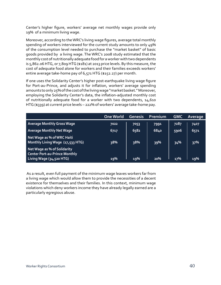Center's higher figure, workers' average net monthly wages provide only 19% of a minimum living wage.

Moreover, according to theWRC's living wage figures, average total monthly spending of workers interviewed for the current study amounts to only 49% of the consumption level needed to purchase the "market basket" of basic goods provided by a living wage. The WRC's 2008 study estimated that the monthly cost of nutritionally adequate food for a worker with two dependents is 5,862.06 HTG, or 7,809 HTG (\$181) at 2013 price levels. By this measure, the cost of adequate food alone for workers and their families exceeds workers' entire average take-home pay of 6,571 HTG (\$152.27) per month.

If one uses the Solidarity Center's higher post-earthquake living wage figure for Port-au-Prince, and adjusts it for inflation, workers' average spending amounts to only 25% of the cost of the living wage "market basket." Moreover, employing the Solidarity Center's data, the inflation-adjusted monthly cost of nutritionally adequate food for a worker with two dependents, 14,610 HTG (\$339) at current price levels – 222% of workers' average take-home pay.

|                                                                                                 | <b>One World</b> | Genesis | <b>Premium</b> | <b>GMC</b> | Average |
|-------------------------------------------------------------------------------------------------|------------------|---------|----------------|------------|---------|
| <b>Average Monthly Gross Wage</b>                                                               | 7022             | 7053    | 7991           | 7287       | 7407    |
| <b>Average Monthly Net Wage</b>                                                                 | 6717             | 6582    | 6840           | 5906       | 6571    |
| Net Wage as % of WRC Haiti<br>Monthly Living Wage (17,533 HTG)                                  | 38%              | 38%     | 39%            | 34%        | 37%     |
| Net Wage as % of Solidarity<br><b>Center Port-au-Prince Monthly</b><br>Living Wage (34,520 HTG) | 19%              | 19%     | 20%            | 17%        | 19%     |

 As a result, even full payment of the minimum wage leaves workers far from a living wage which would allow them to provide the necessities of a decent existence for themselves and their families. In this context, minimum wage violations which deny workers income they have already legally earned are a particularly egregious abuse.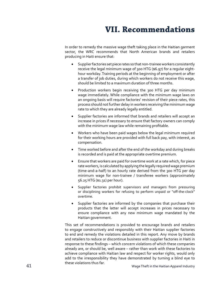# **VII. Recommendations**

In order to remedy the massive wage theft taking place in the Haitian garment sector, the WRC recommends that North American brands and retailers producing in Haiti ensure that:

- Supplier factories set piece rates so that non-trainee workers consistently receive the legal minimum wage of 300 HTG (\$6.97) for a regular eighthour workday. Training periods at the beginning of employment or after a transfer of job duties, during which workers do not receive this wage, should be limited to a maximum duration of three months.
- Production workers begin receiving the 300 HTG per day minimum wage immediately. While compliance with the minimum wage laws on an ongoing basis will require factories' revision of their piece rates, this process should not further delay in workers receiving the minimum wage rate to which they are already legally entitled.
- Supplier factories are informed that brands and retailers will accept an increase in prices if necessary to ensure that factory owners can comply with the minimum wage law while remaining profitable.
- Workers who have been paid wages below the legal minimum required for their working hours are provided with full back pay, with interest, as compensation.
- Time worked before and after the end of the workday and during breaks is recorded and is paid at the appropriate overtime premium.
- Ensure that workers are paid for overtime work at a rate which, for piece rate workers, is calculated by applying the legally required wage premium (time-and-a-half) to an hourly rate derived from the 300 HTG per day minimum wage for non-trainee / transferee workers (approximately 56.25 HTG (\$1.31) per hour).
- Supplier factories prohibit supervisors and managers from pressuring or disciplining workers for refusing to perform unpaid or "off-the-clock" overtime.
- Supplier factories are informed by the companies that purchase their products that the latter will accept increases in prices necessary to ensure compliance with any new minimum wage mandated by the Haitian government.

This set of recommendations is provided to encourage brands and retailers to engage constructively and responsibly with their Haitian supplier factories to end and remedy the violations detailed in this report. Any move by brands and retailers to reduce or discontinue business with supplier factories in Haiti in response to these findings – which concern violations of which these companies already are, or should be, well aware – rather than work with these factories to achieve compliance with Haitian law and respect for worker rights, would only add to the irresponsibility they have demonstrated by turning a blind eye to these violations thus far.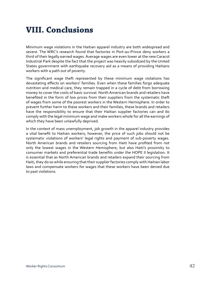# **VIII. Conclusions**

Minimum wage violations in the Haitian apparel industry are both widespread and severe. The WRC's research found that factories in Port-au-Prince deny workers a third of their legally earned wages. Average wages are even lower at the new Caracol Industrial Park despite the fact that the project was heavily subsidized by the United States government with earthquake recovery aid as a means of providing Haitians workers with a path out of poverty.

The significant wage theft represented by these minimum wage violations has devastating effects on workers' families. Even when these families forgo adequate nutrition and medical care, they remain trapped in a cycle of debt from borrowing money to cover the costs of basic survival. North American brands and retailers have benefited in the form of low prices from their suppliers from the systematic theft of wages from some of the poorest workers in the Western Hemisphere. In order to prevent further harm to these workers and their families, these brands and retailers have the responsibility to ensure that their Haitian supplier factories can and do comply with the legal minimum wage and make workers whole for all the earnings of which they have been unlawfully deprived.

In the context of mass unemployment, job growth in the apparel industry provides a vital benefit to Haitian workers; however, the price of such jobs should not be systematic violations of workers' legal rights and payment of sub-poverty wages. North American brands and retailers sourcing from Haiti have profited from not only the lowest wages in the Western Hemisphere, but also Haiti's proximity to consumer markets and preferential trade benefits under the HOPE II legislation. It is essential that as North American brands and retailers expand their sourcing from Haiti, they do so while ensuring that their supplier factories comply with Haitian labor laws and compensate workers for wages that these workers have been denied due to past violations.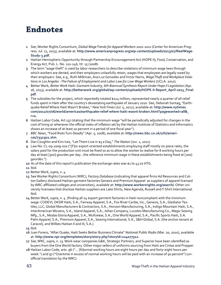# **Endnotes**

- **1** *See*, Worker Rights Consortium, *Global Wage Trends for Apparel Workers 2001-2011* (Center for American Progress: Jul. 11, 2013), available at: **[http://www.americanprogress.org/wp-content/uploads/2013/07/RealWage-](7)[Study-3.pdf](7)**.
- **2** Haitian Hemispheric Opportunity through Partnership Encouragement Act (HOPE II), Food, Conservation, and Energy Act, Pub. L. No. 110-246, tit. 15 (2008).
- **3** The term "wage theft" is used by labor researchers to describe violations of minimum wage laws through which workers are denied, and their employers unlawfully retain, wages that employees are legally owed by their employers. See, e.g., Ruth Milkman, Ana Luz Gonzales and Victor Narro, *Wage Theft and Workplace Violations in Los Angeles - The Failure of Employment and Labor Law for Low-Wage Workers* (UCLA: 2010).
- **4** Better Work, *Better Work Haiti: Garment Industry, 6th Biannual Synthesis Report Under Hope II Legislation* (Apr. 16, 2013), available at: **[http://betterwork.org/global/wp-content/uploads/HOPE-II-Report\\_April-2013\\_Final.](http://betterwork.org/global/wp-content/uploads/HOPE-II-Report_April-2013_Final.pdf) [pdf](http://betterwork.org/global/wp-content/uploads/HOPE-II-Report_April-2013_Final.pdf)**.
- **5** The subsidies for the project, which reportedly totaled \$224 million, represented nearly a quarter of all relief funds spent in Haiti after the country's devastating earthquake of January 2010. See, Deborah Sontag, "Earthquake Relief Where Haiti Wasn't Broken," *New York Times* (Jul. 5, 2012), available at: **[http://www.nytimes.](http://www.nytimes.com/2012/07/06/world/americas/earthquake-relief-where-haiti-wasnt-broken.html?pagewanted=all&_r=0.) [com/2012/07/06/world/americas/earthquake-relief-where-haiti-wasnt-broken.html?pagewanted=all&\\_](http://www.nytimes.com/2012/07/06/world/americas/earthquake-relief-where-haiti-wasnt-broken.html?pagewanted=all&_r=0.) [r=0.](http://www.nytimes.com/2012/07/06/world/americas/earthquake-relief-where-haiti-wasnt-broken.html?pagewanted=all&_r=0.)**
- **6** Haitian Labor Code, Art 137 (stating that the minimum wage "will be periodically adjusted for changes in the cost of living or whenever the official index of inflation set by the Haitian Institute of Statistics and Informatics shows an increase of at least 10 percent in a period of one fiscal year").
- **7** *BBC News*, "Food Riots Turn Deadly" (Apr. 5, 2008), available at: **[http://news.bbc.co.uk/2/hi/ameri](http://news.bbc.co.uk/2/hi/americas/7331921.stm)[cas/7331921.stm](http://news.bbc.co.uk/2/hi/americas/7331921.stm)**.
- **8** Dan Coughlin and Kim Ives, "Let Them Live in \$3 a Day," *The Nation* (Jun. 1, 2011).
- **9** Law No. CL-09-2009-010 ("[F]or export-oriented establishments employing staff mostly on piece rates, the salary paid for the production unit must be fixed so as to allow the worker to realize for 8 working hours per day at least [300] gourdes per day…the reference minimum wage in these establishments being fixed at [200] gourdes.").
- **10** As of the date of this report's publication the exchange rates was \$1 to 43.07 HTG.
- **11** Ibid.
- **12** Better Work, *supra*, n. 4.
- 13 See Worker Rights Consortium (WRC), *Factory Database* (indicating that apparel firms Ad Resources and Cotton Gallery disclosed Haitian garment factories Genesis and Premium Apparel as suppliers of apparel licensed by WRC-affiliated colleges and universities), available at: **[http://www.workersrights.org/search/](http://www.workersrights.org/search)**. Other university licensees that disclose Haitian suppliers are Lake Shirts, New Agenda, Russell and T-Shirt International. Ibid.
- **14** Better Work, *supra*, n. 4. (finding all 24 export garment factories in Haiti noncompliant with the minimum wage: CODEVI, DKDR Haiti, S.A., Fairway Apparel, S.A., Fox River Caribe, Inc., Genesis, S.A., Gladiator Textiles, LLC, Global Manufacturers & Contractors, S.A., Horizon Manufacturing, S.A., Indigo Mountain Haiti, S.A., InterAmerican Wovens, S.A., Island Apparel, S.A., Johan Company, Lucotex Manufacturing Co., Magic Sewing Mfg., S.A., Modas Gloria Apparel, S.A., Multiwear, S.A., One World Apparel, S.A., Pacific Sports Haiti, S.A. Palm Apparel, S.A., Premium Apparel, S.A., Sewing International, S.A., S&H Global, S.A. (the anchor tenant at Caracol), and Wilbes Haitian II and III, S.A.).

- **16** Juan Forero, "After Quake, Haiti Seeks Better Business Climate" *National Public Radio* (Mar. 20, 2010), available at: **<http://www.npr.org/templates/story/story.php?storyId=124077512>.**
- **17** *See*, WRC, *supra*, n. 13.Work-wear companiesG&K, Strategic Partners, and Superior have been identified as buyers from the One World factory. Other major sellers of uniforms sourcing from Haiti are Cintas and Propper.
- **18** Haitian Labor Code, arts. 96 ("… [N]ormal working hours are eight hours per day and forty-eight hours per week.") and 97 ("Overtime in excess of normal working hours will be paid with an increase of 50 percent") (unofficial translation by the WRC).

**<sup>15</sup>** Ibid.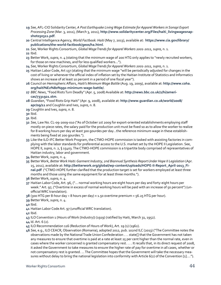- **19** *See*, AFL-CIO Solidarity Center, *A Post Earthquake Living Wage Estimate for Apparel Workers in Sonapi Export Processing Zone* (Mar. 3, 2011), (March 3, 2011), **http://www.solidaritycenter.org/Files/haiti\_livingwagesnapshot030311.pdf**.
- **20** Central Intelligence Agency, *World Factbook: Haiti* (May 7, 2013), available at: **[https://www.cia.gov/library/](https://www.cia.gov/library/publications/the-world-factbook/geos/ha.html) [publications/the-world-factbook/geos/ha.html](https://www.cia.gov/library/publications/the-world-factbook/geos/ha.html)**.
- **21** *See*, Worker Rights Consortium, *Global Wage Trends for Apparel Workers 2001-2011, supra*, n. 1.

**22** Ibid.

- **23** Better Work, *supra*, n. 4 (stating that the minimum wage of 200 HTG only applies to "newly recruited workers, for those on new machines, and for less qualified workers…").
- **24** *See*, Worker Rights Consortium, *Global Wage Trends for Apparel Workers 2001-2011, supra*, n. 1.
- **25** Haitian Labor Code, Art 137 (stating that the minimum wage "will be periodically adjusted for changes in the cost of living or whenever the official index of inflation set by the Haitian Institute of Statistics and Informatics shows an increase of at least 10 percent in a period of one fiscal year").
- **26** Council on HemisphericAffairs, *Haiti's Minimum Wage Battle* (Aug. 19, 2009), available at: **[http://www.coha.](http://www.coha.org/haiti) [org/haiti](http://www.coha.org/haiti)%E2%80%99s-minimum-wage-battle/**.
- **27** *BBC News*, "Food Riots Turn Deadly" (Apr. 5, 2008) Available at: **[http://news.bbc.co.uk/2/hi/ameri](http://news.bbc.co.uk/2/hi/americas/7331921.stm)[cas/7331921.stm](http://news.bbc.co.uk/2/hi/americas/7331921.stm)**.
- **28** *Guardian*, "Food Riots Grip Haiti" (Apr. 9, 2008), available at: **[http://www.guardian.co.uk/world/2008/](http://www.guardian.co.uk/world/2008/apr/09/11) [apr/09/11](http://www.guardian.co.uk/world/2008/apr/09/11)** and Coughlin and Ives, *supra*, n. 8.
- **29** Coughlin and Ives, *supra*, n. 8.
- **30** Ibid.
- **31** Ibid.
- **32** *See*, Law No. CL-09-2009-010 ("As of October 1st 2009 for export-oriented establishments employing staff mostly on piece rates, the salary paid for the production unit must be fixed so as to allow the worker to realize for 8 working hours per day at least 300 gourdes per day…the reference minimum wage in these establishments being fixed at 200 gourdes.").
- **33** Like the ILO-IFC Better Work Program, the CTMO-HOPE commission is tasked with assisting factories in complying with the labor standards for preferential access to the U.S. market set by the HOPE II Legislation. See, HOPE II, *supra*, n. 2, § 15403. The CTMO-HOPE commission is a tripartite body comprised of representatives of Haitian industry, labor and government.
- **34** Better Work, *supra*, n. 4.
- **35** Better Work, *Better Work Haiti: Garment Industry, 2nd Biannual Synthesis Report Under Hope II Legislation* (Apr. 15, 2011), available at: **[http://betterwork.org/global/wp-content/uploads/HOPE-II-Report\\_April-2013\\_Fi](http://betterwork.org/global/wp-content/uploads/HOPE-II-Report_April-2013_Final.pdf)[nal.pdf](http://betterwork.org/global/wp-content/uploads/HOPE-II-Report_April-2013_Final.pdf)** ("CTMO-HOPE further clarified that the production target is set for workers employed at least three months and those using the same equipment for at least three months.").
- **36** Better Work, *supra*, n. 4.
- **37** Haitian Labor Code, Art. 96, ("… normal working hours are eight hours per day and forty-eight hours per week." Art. 97, ("Overtime in excess of normal working hours will be paid with an increase of 50 percent") (unofficialWRC translation).
- **38** (300 HTG per 8-hour day ÷ 8 hours per day) × 1.50 overtime premium = 56.25 HTG per hour).
- **39** Better Work, *supra*, n. 4.
- **40** Ibid.
- **41** Haitian Labor CodeArt. 97 (unofficial WRC translation).
- **42** Ibid.
- **43** ILO Convention 1 (Hours of Work (Industry)) (1919) (ratified by Haiti, March 31, 1952).
- **44** Id. Art. 6 (2).
- **45** ILO Recommendation 116 (Reduction of Hours of Work), Art. 19 (1) (1962).
- **46** *See*, e.g., ILO CEACR, Observation (Romania), adopted 2012, pub. 102nd ILC (2013) ("The Committee notes the observations made by the National Trade Union Confederation . . . state[] that the Government has not taken any measures to ensure that overtime is paid at a rate at least 25 per cent higher than the normal rate, even in cases where the worker concerned is granted compensatory rest. . . . It recalls that, in its direct request of 2008, it asked the Government to take measures to ensure the higher rate of pay for overtime in all cases, whether or not compensatory rest is granted. … The Committee hopes that the Government will take the necessary measures without delay to bring the national legislation into conformity with Article 6(2) of the Convention [1]….").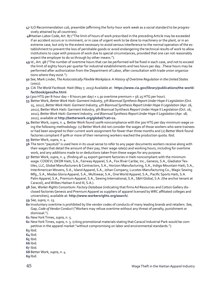- **47** ILO Recommendation 116, preamble (affirming the forty-hour work week as a social standard to be progressively attained by all countries).
- **48**Haitian Labor Code, Art. 87 ("The limit of hours of work prescribed in the preceding Article may be exceeded if an accident occurs or is imminent, or in case of urgent work to be done to machinery or the plant, or in an extreme case, but only to the extent necessary to avoid serious interference to the normal operation of the establishment to prevent the loss of perishable goods or avoid endangering the technical results of work to allow institutions to cope with pressure of work due to special circumstances, provided that one can not reasonably expect the employer to do so through by other means.").
- **49** Id.,Art. 98 ("The number of overtime hours that can be performed will be fixed in each case, and not to exceed the limit of eighty hours per quarter for industrial establishments and two hours per day…These hours may be performed after authorization from the Department of Labor, after consultation with trade union organizations where they exist.").
- **50** *See*, Mark Linder, *The Autocratically Flexible Workplace: A History of Overtime Regulation in the United States* (2002).
- **51** CIA *The World Factbook: Haiti* (May 7, 2013) Available at: **https://www.cia.gov/library/publications/the-worldfactbook/geos/ha.html**.
- **52** (300 HTG per 8-hour day ÷ 8 hours per day) × 1.50 overtime premium = 56.25 HTG per hour).
- **53** Better Work, *Better Work Haiti: Garment Industry, 5th Biannual Synthesis Report Under Hope II Legislation* (Oct. 15, 2012), *Better Work Haiti: Garment Industry, 4th Biannual Synthesis Report Under Hope II Legislation* (Apr. 16, 2012), Better Work Haiti: Garment Industry, 3th Biannual Synthesis Report Under Hope II Legislation (Oct. 16, 2011), *Better Work Haiti: Garment Industry, 2nd Biannual Synthesis Report Under Hope II Legislation* (Apr. 18, 2011), available at **<http://betterwork.org/global/?cat=21.>**
- **54** Better Work, *supra*, n. 4. Better Work found 100% noncompliance with the 300 HTG per day minimum wage using the following methodology: (1) Better Work did not consider the wages of those workers who were trainees or had been assigned to their current work assignment for fewer than three months and (2) Better Work found factories compliant if 90% or more of their remaining workers reached the production quota. Ibid.
- **55** Better Work, *supra*, n. 4.
- **56** The term "paystub" is used here in its usual sense to refer to any paper documents workers receive along with their wages that detail the amount of their pay, their wage rate(s) and working hours, including for overtime work, and any additions made to or deductions taken from these wages for any purpose.
- **57** Better Work, *supra*, n. 4. (finding all 24 export garment factories in Haiti noncompliant with the minimum wage: CODEVI, DKDR Haiti, S.A., Fairway Apparel, S.A., Fox River Caribe, Inc., Genesis, S.A., Gladiator Textiles, LLC, Global Manufacturers & Contractors, S.A., Horizon Manufacturing, S.A., Indigo Mountain Haiti, S.A., InterAmerican Wovens, S.A., Island Apparel, S.A., Johan Company, Lucotex Manufacturing Co., Magic Sewing Mfg., S.A., Modas Gloria Apparel, S.A., Multiwear, S.A., One World Apparel, S.A., Pacific Sports Haiti, S.A. Palm Apparel, S.A., Premium Apparel, S.A., Sewing International, S.A., S&H Global, S.A. (the anchor tenant at Caracol), and Wilbes Haitian II and III, S.A.).
- **58** *See*, *Worker Rights Consortium: Factory Database* (indicating that firmsAd Resources and CottonGallery disclosed factoriesGenesis and Premium Apparel as suppliers of apparel licensed byWRC affiliated colleges and universities), available at: **<http://www.workersrights.org/search>**/.
- **59** *See, supra*, n. 13.
- **60** Involuntary overtime is prohibited by the vendor codes of conducts of many leading brands and retailers. *See*, Gap, *Code of Vendor Conduct* ("Workers may refuse overtime without any threat of penalty, punishment or dismissal.").
- **61** New York Times, *supra*, n. 5.
- **62** New York Times, *supra*, n. 5. (citing promotional materials stating that Caracol Industrial Park would be competitive in the apparel market "without compromising on labor and environmental standards.").
- **63** Ibid.
- **64** Ibid.
- **65** Ibid.
- **66** Ibid.
- **67** Ibid.

**69** Ibid.

**<sup>68</sup>** Better Work, *supra*, n. 4.